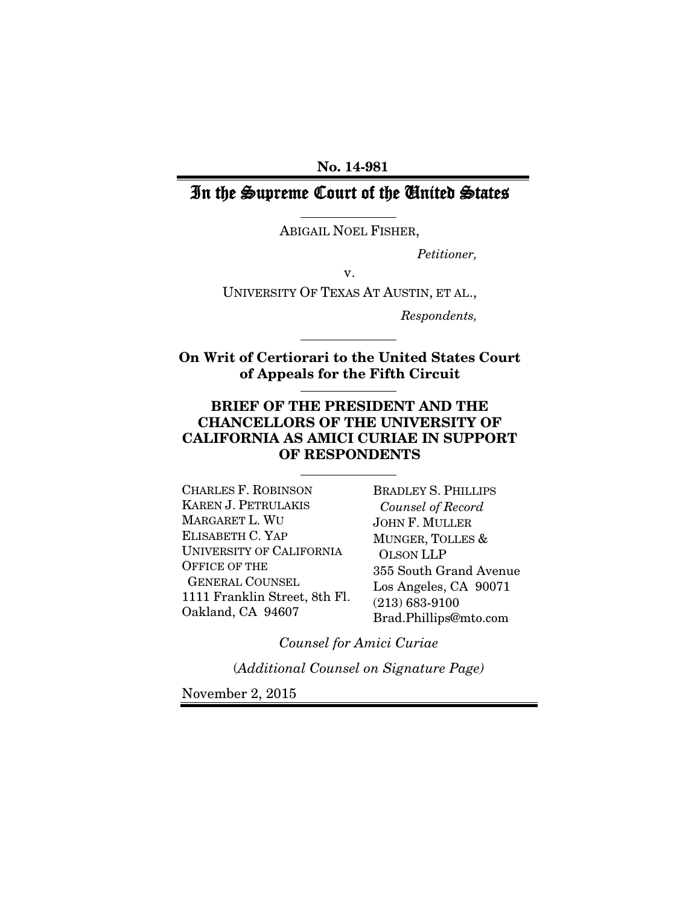#### No. 14-981

# In the Supreme Court of the United States

ABIGAIL NOEL FISHER,

*Petitioner,*

v.

UNIVERSITY OF TEXAS AT AUSTIN, ET AL.,

*Respondents,*

On Writ of Certiorari to the United States Court of Appeals for the Fifth Circuit

### BRIEF OF THE PRESIDENT AND THE CHANCELLORS OF THE UNIVERSITY OF CALIFORNIA AS AMICI CURIAE IN SUPPORT OF RESPONDENTS

CHARLES F. ROBINSON KAREN J. PETRULAKIS MARGARET L. WU ELISABETH C. YAP UNIVERSITY OF CALIFORNIA OFFICE OF THE GENERAL COUNSEL 1111 Franklin Street, 8th Fl. Oakland, CA 94607

BRADLEY S. PHILLIPS  *Counsel of Record* JOHN F. MULLER MUNGER, TOLLES & OLSON LLP 355 South Grand Avenue Los Angeles, CA 90071 (213) 683-9100 Brad.Phillips@mto.com

*Counsel for Amici Curiae*

(*Additional Counsel on Signature Page)*

November 2, 2015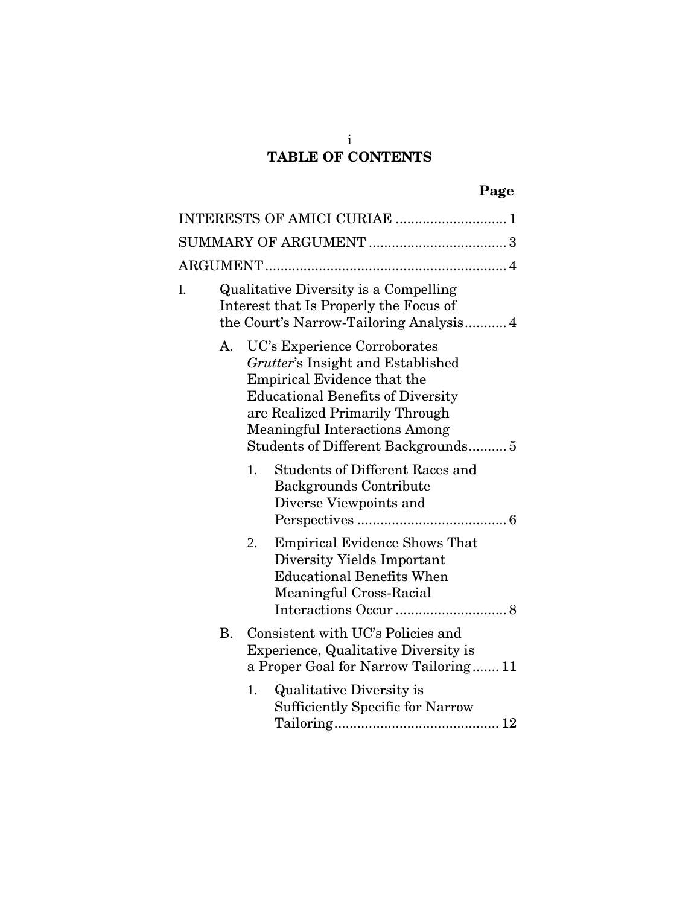# TABLE OF CONTENTS

|    |           | INTERESTS OF AMICI CURIAE  1                                                                                                                                                                                                                                 |
|----|-----------|--------------------------------------------------------------------------------------------------------------------------------------------------------------------------------------------------------------------------------------------------------------|
|    |           |                                                                                                                                                                                                                                                              |
|    |           |                                                                                                                                                                                                                                                              |
| I. |           | Qualitative Diversity is a Compelling<br>Interest that Is Properly the Focus of<br>the Court's Narrow-Tailoring Analysis 4                                                                                                                                   |
|    | A.        | UC's Experience Corroborates<br>Grutter's Insight and Established<br>Empirical Evidence that the<br><b>Educational Benefits of Diversity</b><br>are Realized Primarily Through<br><b>Meaningful Interactions Among</b><br>Students of Different Backgrounds5 |
|    |           | <b>Students of Different Races and</b><br>1.<br><b>Backgrounds Contribute</b><br>Diverse Viewpoints and                                                                                                                                                      |
|    |           | <b>Empirical Evidence Shows That</b><br>2.<br>Diversity Yields Important<br><b>Educational Benefits When</b><br>Meaningful Cross-Racial                                                                                                                      |
|    | <b>B.</b> | Consistent with UC's Policies and<br>Experience, Qualitative Diversity is<br>a Proper Goal for Narrow Tailoring 11                                                                                                                                           |
|    |           | 1.<br>Qualitative Diversity is<br><b>Sufficiently Specific for Narrow</b>                                                                                                                                                                                    |

i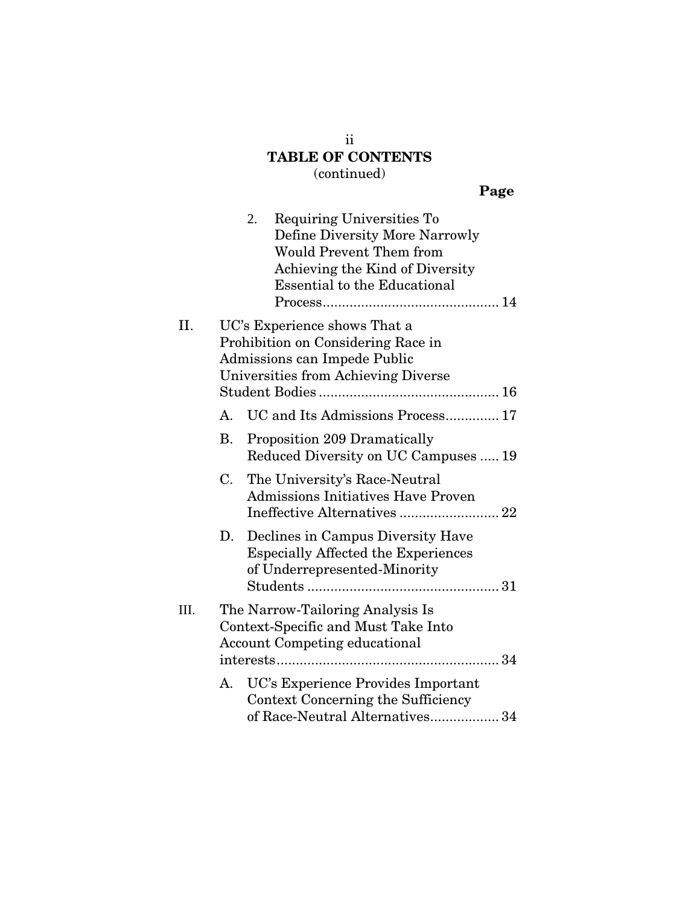# TABLE OF CONTENTS (continued)

# Page

|      |    | Requiring Universities To<br>2.<br>Define Diversity More Narrowly<br><b>Would Prevent Them from</b><br>Achieving the Kind of Diversity<br><b>Essential to the Educational</b> |
|------|----|-------------------------------------------------------------------------------------------------------------------------------------------------------------------------------|
| II.  |    | UC's Experience shows That a<br>Prohibition on Considering Race in<br>Admissions can Impede Public<br>Universities from Achieving Diverse                                     |
|      | A. | UC and Its Admissions Process 17                                                                                                                                              |
|      | В. | Proposition 209 Dramatically<br>Reduced Diversity on UC Campuses  19                                                                                                          |
|      | C. | The University's Race-Neutral<br><b>Admissions Initiatives Have Proven</b>                                                                                                    |
|      | D. | Declines in Campus Diversity Have<br><b>Especially Affected the Experiences</b><br>of Underrepresented-Minority                                                               |
| III. |    | The Narrow-Tailoring Analysis Is<br>Context-Specific and Must Take Into<br><b>Account Competing educational</b>                                                               |
|      | А. | UC's Experience Provides Important<br>Context Concerning the Sufficiency<br>of Race-Neutral Alternatives 34                                                                   |

ii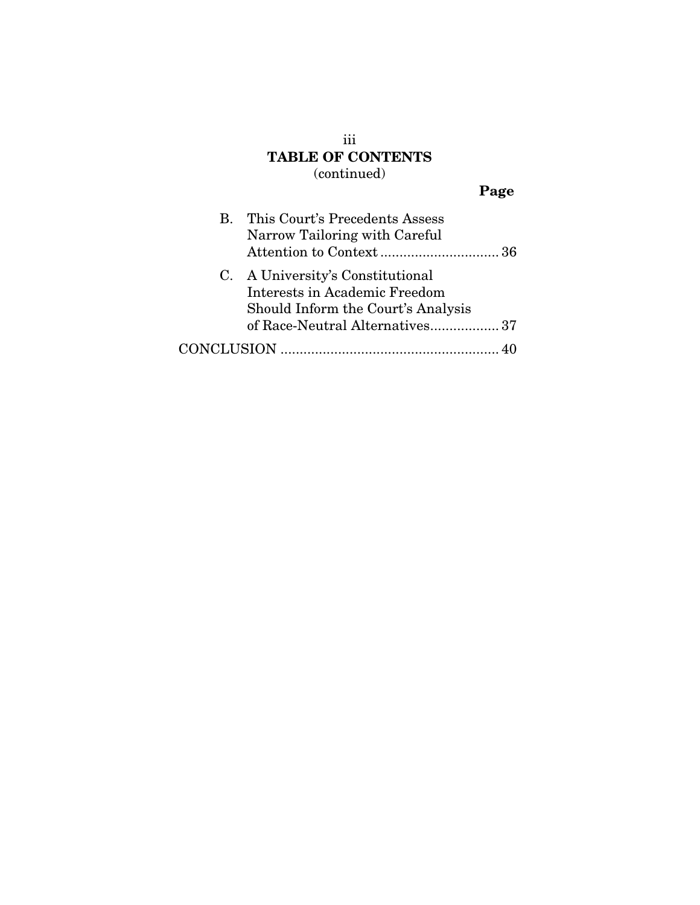iii TABLE OF CONTENTS (continued)

# Page

| B. | This Court's Precedents Assess<br>Narrow Tailoring with Careful                                         |  |
|----|---------------------------------------------------------------------------------------------------------|--|
|    | C. A University's Constitutional<br>Interests in Academic Freedom<br>Should Inform the Court's Analysis |  |
|    | of Race-Neutral Alternatives 37                                                                         |  |
|    |                                                                                                         |  |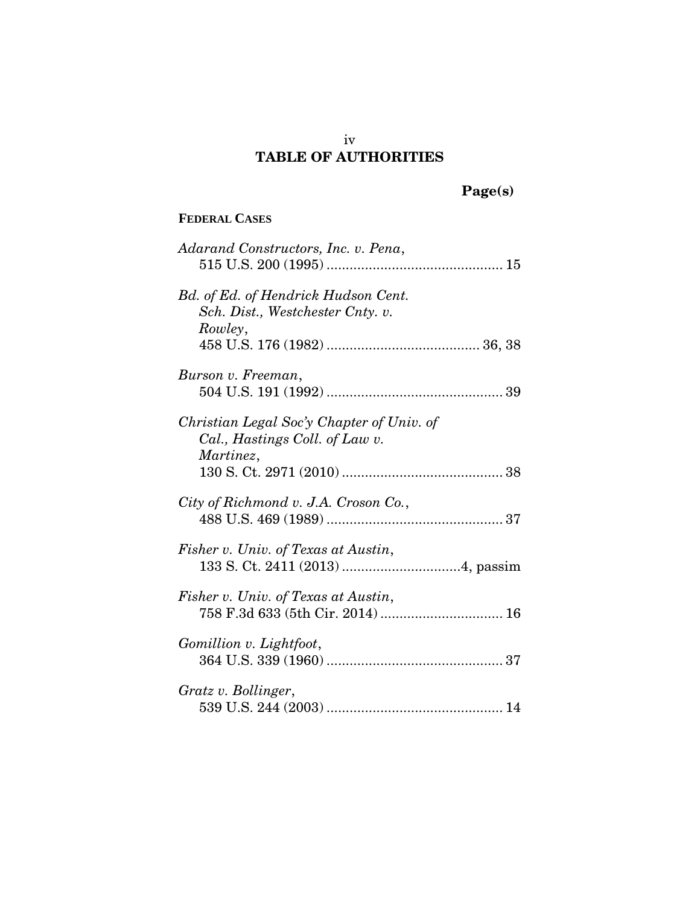# iv TABLE OF AUTHORITIES

# Page(s)

## **FEDERAL CASES**

| Adarand Constructors, Inc. v. Pena,                                                      |
|------------------------------------------------------------------------------------------|
| Bd. of Ed. of Hendrick Hudson Cent.<br>Sch. Dist., Westchester Cnty. v.<br>Rowley,       |
|                                                                                          |
| Burson v. Freeman,                                                                       |
| Christian Legal Soc'y Chapter of Univ. of<br>Cal., Hastings Coll. of Law v.<br>Martinez, |
|                                                                                          |
| City of Richmond v. J.A. Croson Co.,                                                     |
| Fisher v. Univ. of Texas at Austin,                                                      |
| Fisher v. Univ. of Texas at Austin,<br>758 F.3d 633 (5th Cir. 2014)  16                  |
| Gomillion v. Lightfoot,                                                                  |
| Gratz v. Bollinger,                                                                      |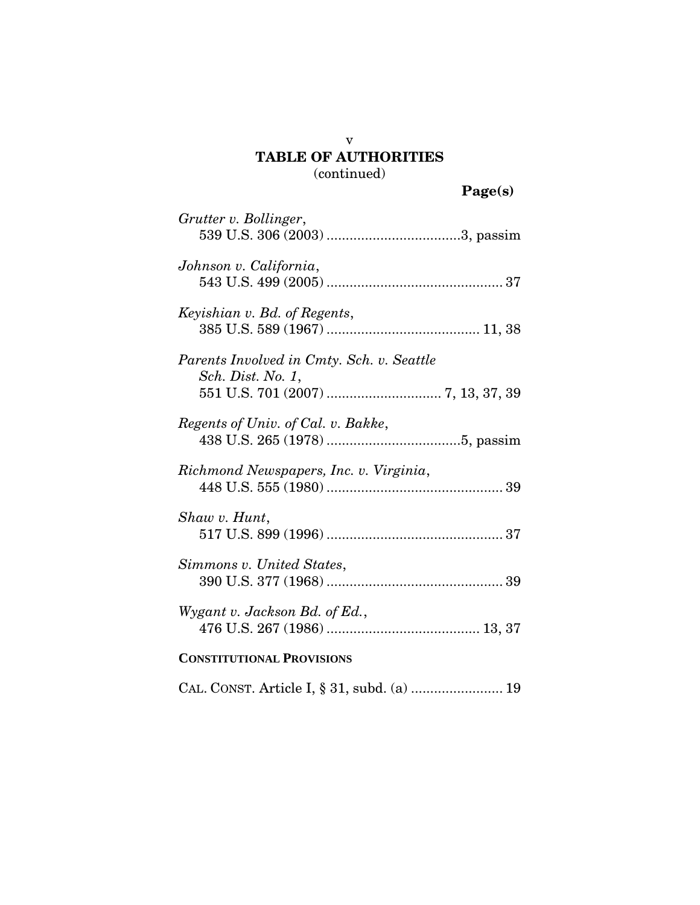v

| Grutter v. Bollinger,                                          |
|----------------------------------------------------------------|
| Johnson v. California,                                         |
| Keyishian v. Bd. of Regents,                                   |
| Parents Involved in Cmty. Sch. v. Seattle<br>Sch. Dist. No. 1, |
| Regents of Univ. of Cal. v. Bakke,                             |
| Richmond Newspapers, Inc. v. Virginia,                         |
| Shaw v. Hunt,                                                  |
| Simmons v. United States,                                      |
| Wygant v. Jackson Bd. of Ed.,                                  |
| <b>CONSTITUTIONAL PROVISIONS</b>                               |
| CAL. CONST. Article I, § 31, subd. (a)  19                     |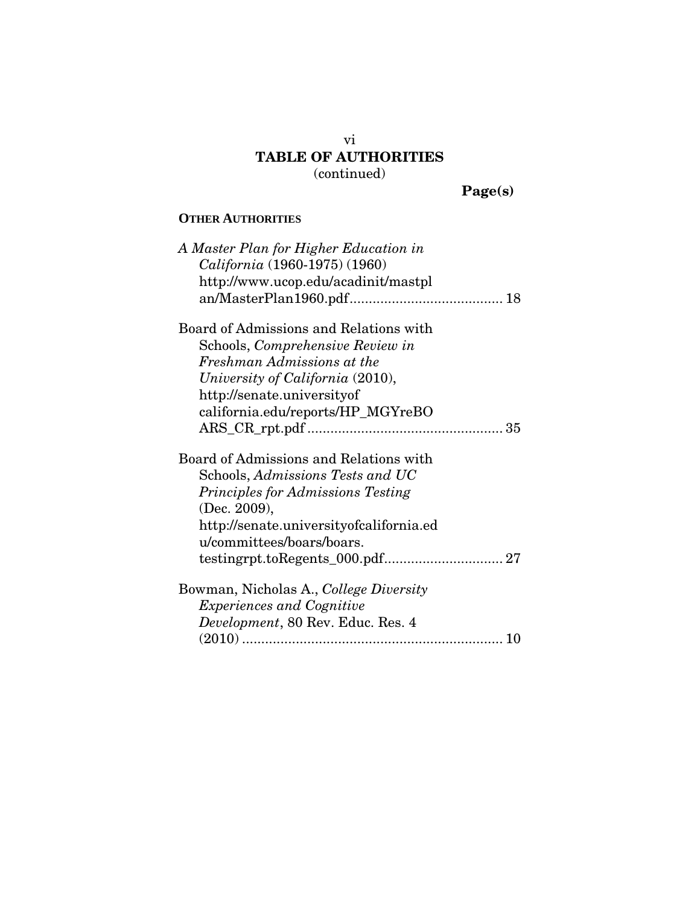Page(s)

## **OTHER AUTHORITIES**

| A Master Plan for Higher Education in    |
|------------------------------------------|
| California (1960-1975) (1960)            |
| http://www.ucop.edu/acadinit/mastpl      |
|                                          |
| Board of Admissions and Relations with   |
| Schools, Comprehensive Review in         |
| Freshman Admissions at the               |
| University of California (2010),         |
| http://senate.universityof               |
| california.edu/reports/HP_MGYreBO        |
|                                          |
| Board of Admissions and Relations with   |
| Schools, Admissions Tests and UC         |
| <b>Principles for Admissions Testing</b> |
| (Dec. 2009),                             |
| http://senate.universityofcalifornia.ed  |
| u/committees/boars/boars.                |
|                                          |
| Bowman, Nicholas A., College Diversity   |
| <i>Experiences and Cognitive</i>         |
| Development, 80 Rev. Educ. Res. 4        |
| 10                                       |
|                                          |

vi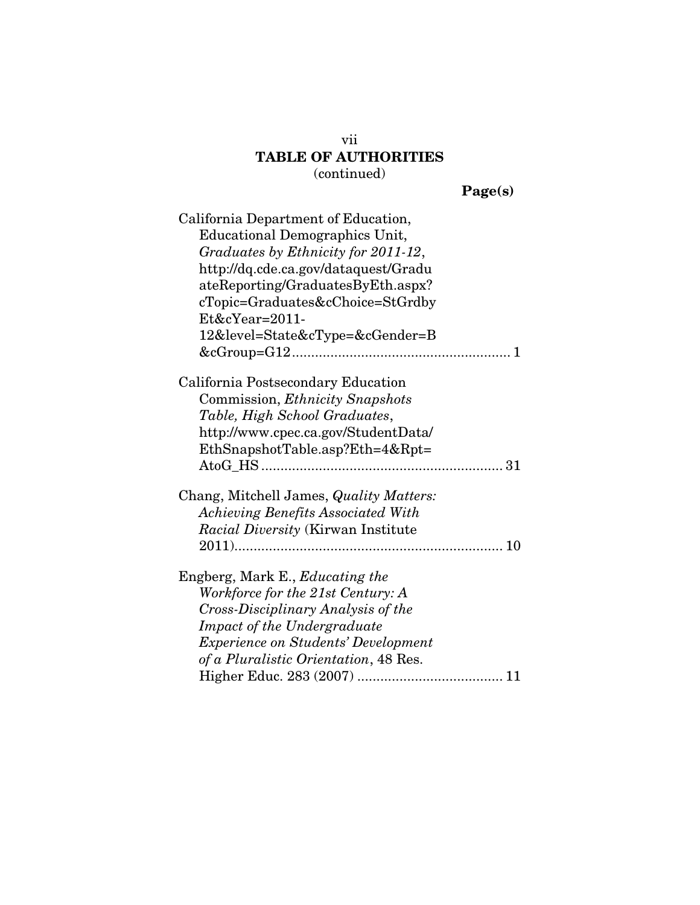| 'age(s) |
|---------|
|         |

| California Department of Education,<br>Educational Demographics Unit,<br>Graduates by Ethnicity for 2011-12,<br>http://dq.cde.ca.gov/dataquest/Gradu<br>ateReporting/GraduatesByEth.aspx?<br>cTopic=Graduates&cChoice=StGrdby<br>$Et&cYear=2011-$<br>12&level=State&cType=&cGender=B |
|--------------------------------------------------------------------------------------------------------------------------------------------------------------------------------------------------------------------------------------------------------------------------------------|
| California Postsecondary Education                                                                                                                                                                                                                                                   |
| Commission, <i>Ethnicity Snapshots</i>                                                                                                                                                                                                                                               |
| Table, High School Graduates,                                                                                                                                                                                                                                                        |
| http://www.cpec.ca.gov/StudentData/                                                                                                                                                                                                                                                  |
| EthSnapshotTable.asp?Eth=4&Rpt=                                                                                                                                                                                                                                                      |
|                                                                                                                                                                                                                                                                                      |
|                                                                                                                                                                                                                                                                                      |
| Chang, Mitchell James, Quality Matters:                                                                                                                                                                                                                                              |
| <b>Achieving Benefits Associated With</b>                                                                                                                                                                                                                                            |
| Racial Diversity (Kirwan Institute                                                                                                                                                                                                                                                   |
|                                                                                                                                                                                                                                                                                      |
|                                                                                                                                                                                                                                                                                      |
| Engberg, Mark E., <i>Educating the</i>                                                                                                                                                                                                                                               |
| Workforce for the 21st Century: A                                                                                                                                                                                                                                                    |
| Cross-Disciplinary Analysis of the                                                                                                                                                                                                                                                   |
| Impact of the Undergraduate                                                                                                                                                                                                                                                          |
| <b>Experience on Students' Development</b>                                                                                                                                                                                                                                           |
| of a Pluralistic Orientation, 48 Res.                                                                                                                                                                                                                                                |
|                                                                                                                                                                                                                                                                                      |

vii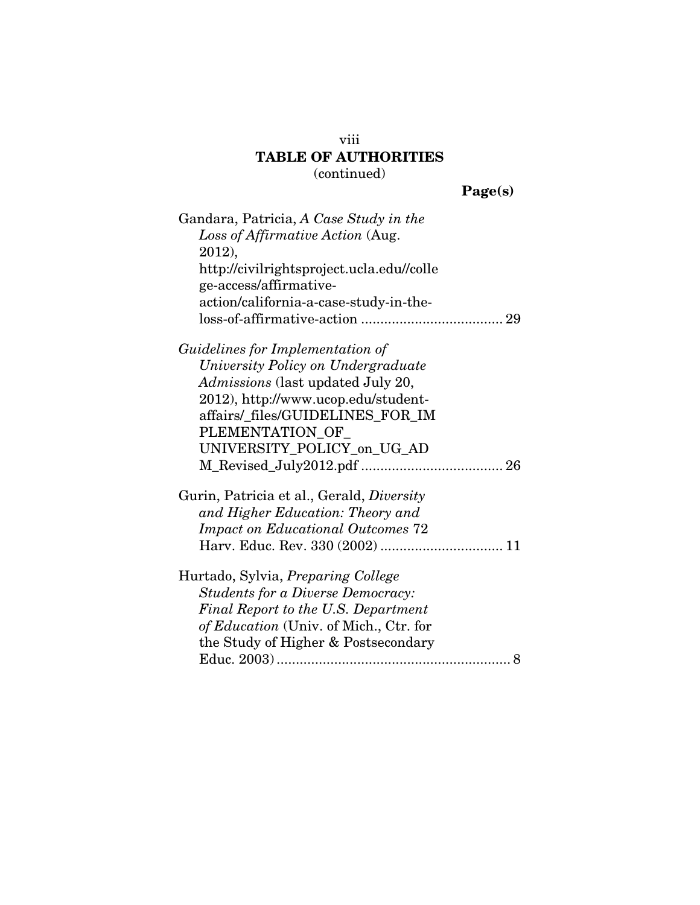Page(s)

| Gandara, Patricia, A Case Study in the    |
|-------------------------------------------|
| Loss of Affirmative Action (Aug.          |
| 2012),                                    |
| http://civilrightsproject.ucla.edu//colle |
| ge-access/affirmative-                    |
| action/california-a-case-study-in-the-    |
|                                           |
| Guidelines for Implementation of          |
| University Policy on Undergraduate        |
| Admissions (last updated July 20,         |
| 2012), http://www.ucop.edu/student-       |
| affairs/_files/GUIDELINES_FOR_IM          |
| PLEMENTATION_OF_                          |
| UNIVERSITY_POLICY_on_UG_AD                |
|                                           |
| Gurin, Patricia et al., Gerald, Diversity |
| and Higher Education: Theory and          |
| <b>Impact on Educational Outcomes 72</b>  |
|                                           |
| Hurtado, Sylvia, Preparing College        |
| <b>Students for a Diverse Democracy:</b>  |
| Final Report to the U.S. Department       |
| of Education (Univ. of Mich., Ctr. for    |
| the Study of Higher & Postsecondary       |
| 8                                         |

viii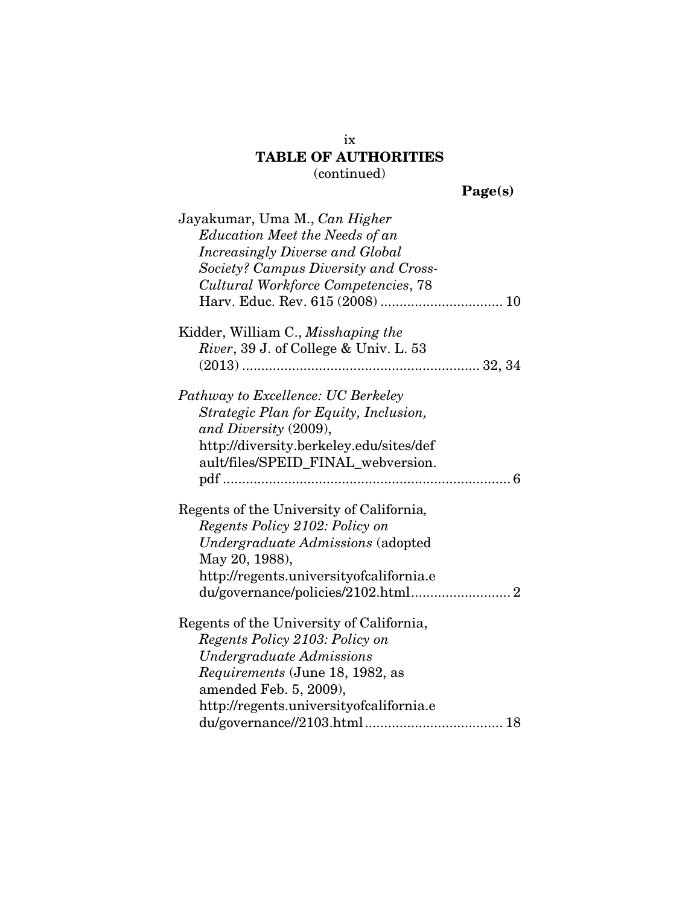| get(5)<br>л |  |
|-------------|--|
|             |  |

| Jayakumar, Uma M., Can Higher<br><b>Education Meet the Needs of an</b><br>Increasingly Diverse and Global<br>Society? Campus Diversity and Cross-<br>Cultural Workforce Competencies, 78                       |
|----------------------------------------------------------------------------------------------------------------------------------------------------------------------------------------------------------------|
| Kidder, William C., Misshaping the<br>River, 39 J. of College & Univ. L. 53                                                                                                                                    |
| Pathway to Excellence: UC Berkeley<br>Strategic Plan for Equity, Inclusion,<br>and Diversity (2009),<br>http://diversity.berkeley.edu/sites/def<br>ault/files/SPEID_FINAL_webversion.                          |
| Regents of the University of California,<br>Regents Policy 2102: Policy on<br>Undergraduate Admissions (adopted<br>May 20, 1988),<br>http://regents.universityofcalifornia.e                                   |
| Regents of the University of California,<br>Regents Policy 2103: Policy on<br>Undergraduate Admissions<br>Requirements (June 18, 1982, as<br>amended Feb. 5, 2009),<br>http://regents.universityofcalifornia.e |

ix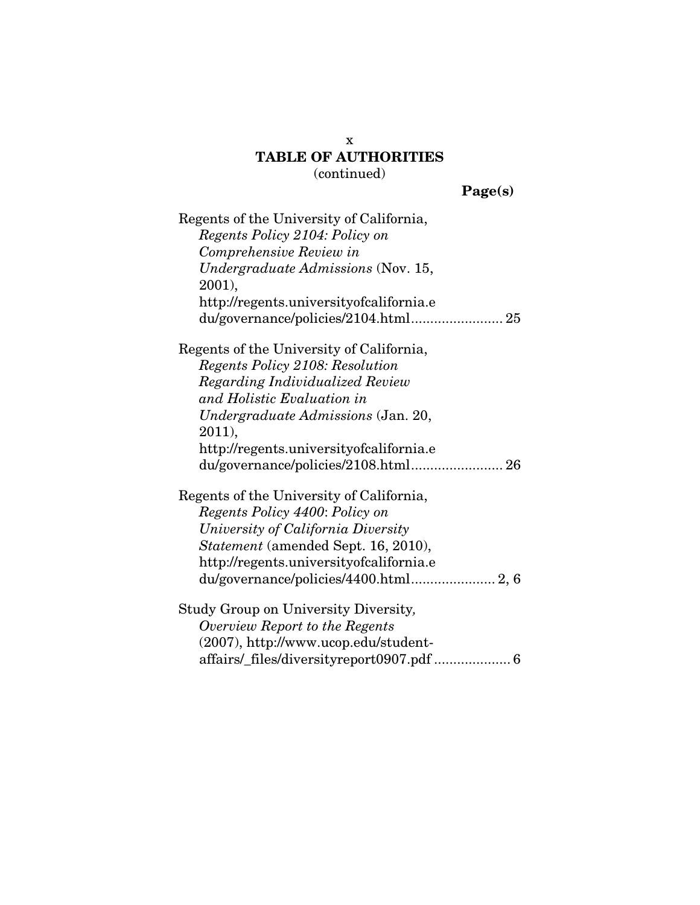Page(s)

| Regents of the University of California,   |
|--------------------------------------------|
| Regents Policy 2104: Policy on             |
| Comprehensive Review in                    |
| <i>Undergraduate Admissions</i> (Nov. 15,  |
| 2001),                                     |
| http://regents.universityofcalifornia.e    |
|                                            |
| Regents of the University of California,   |
| <b>Regents Policy 2108: Resolution</b>     |
| Regarding Individualized Review            |
| and Holistic Evaluation in                 |
| Undergraduate Admissions (Jan. 20,         |
| 2011),                                     |
| http://regents.universityofcalifornia.e    |
|                                            |
| Regents of the University of California,   |
| Regents Policy 4400: Policy on             |
| University of California Diversity         |
| <i>Statement</i> (amended Sept. 16, 2010), |
| http://regents.universityofcalifornia.e    |
|                                            |
| Study Group on University Diversity,       |
| Overview Report to the Regents             |
| (2007), http://www.ucop.edu/student-       |
|                                            |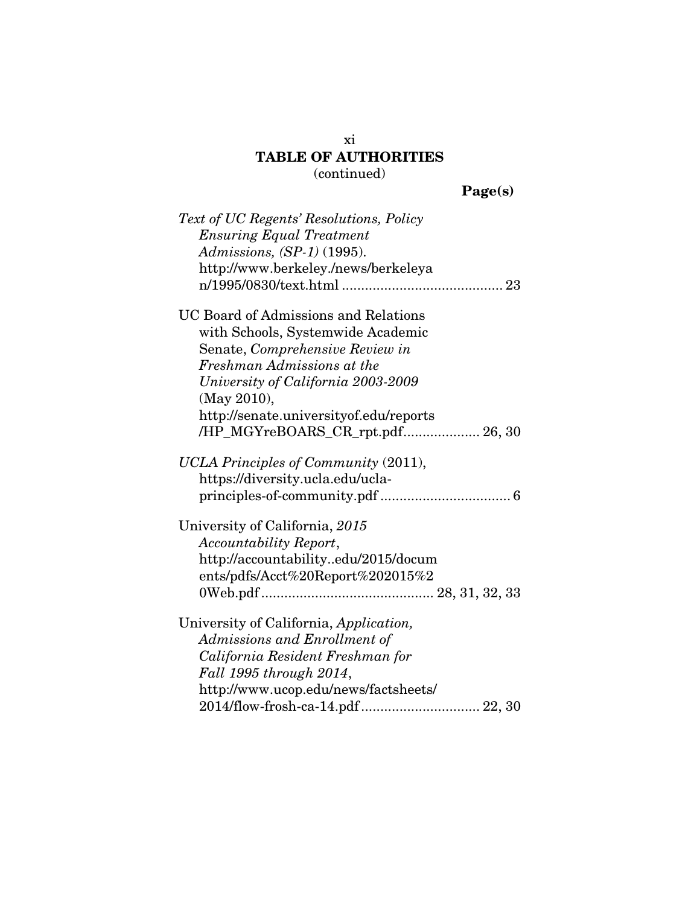Page(s)

| Text of UC Regents' Resolutions, Policy     |
|---------------------------------------------|
| <b>Ensuring Equal Treatment</b>             |
| Admissions, $(SP-1)$ (1995).                |
| http://www.berkeley./news/berkeleya         |
|                                             |
| <b>UC Board of Admissions and Relations</b> |
| with Schools, Systemwide Academic           |
| Senate, Comprehensive Review in             |
| Freshman Admissions at the                  |
| University of California 2003-2009          |
| (May 2010),                                 |
| http://senate.universityof.edu/reports      |
| /HP_MGYreBOARS_CR_rpt.pdf 26, 30            |
|                                             |
| UCLA Principles of Community (2011),        |
| https://diversity.ucla.edu/ucla-            |
|                                             |
| University of California, 2015              |
| Accountability Report,                      |
| http://accountabilityedu/2015/docum         |
| ents/pdfs/Acct%20Report%202015%2            |
|                                             |
|                                             |
| University of California, Application,      |
| Admissions and Enrollment of                |
| California Resident Freshman for            |
| Fall 1995 through 2014,                     |
| http://www.ucop.edu/news/factsheets/        |
|                                             |

xi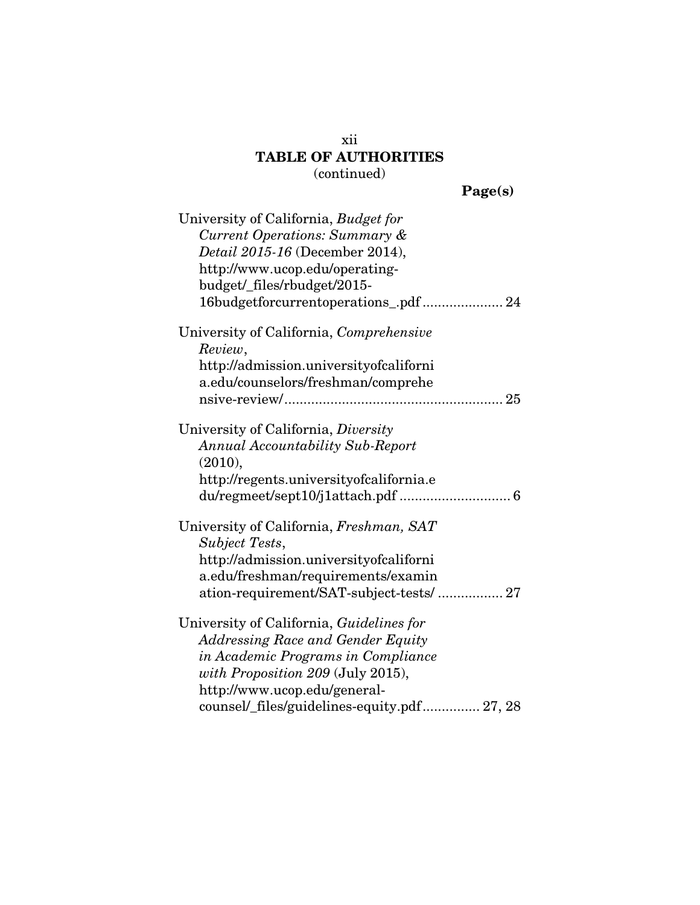| oet.<br>н<br>. . |
|------------------|
|                  |

| University of California, Budget for        |
|---------------------------------------------|
| Current Operations: Summary &               |
| <i>Detail 2015-16</i> (December 2014),      |
| http://www.ucop.edu/operating-              |
| budget/_files/rbudget/2015-                 |
| 16budgetforcurrentoperations_.pdf  24       |
| University of California, Comprehensive     |
| Review,                                     |
| http://admission.universityofcaliforni      |
| a.edu/counselors/freshman/comprehe          |
|                                             |
| University of California, Diversity         |
| <b>Annual Accountability Sub-Report</b>     |
| (2010),                                     |
| http://regents.universityofcalifornia.e     |
| du/regmeet/sept10/j1attach.pdf  6           |
| University of California, Freshman, SAT     |
| Subject Tests,                              |
| http://admission.universityofcaliforni      |
| a.edu/freshman/requirements/examin          |
| ation-requirement/SAT-subject-tests/  27    |
| University of California, Guidelines for    |
| <b>Addressing Race and Gender Equity</b>    |
| in Academic Programs in Compliance          |
| with Proposition 209 (July 2015),           |
| http://www.ucop.edu/general-                |
| counsel/_files/guidelines-equity.pdf 27, 28 |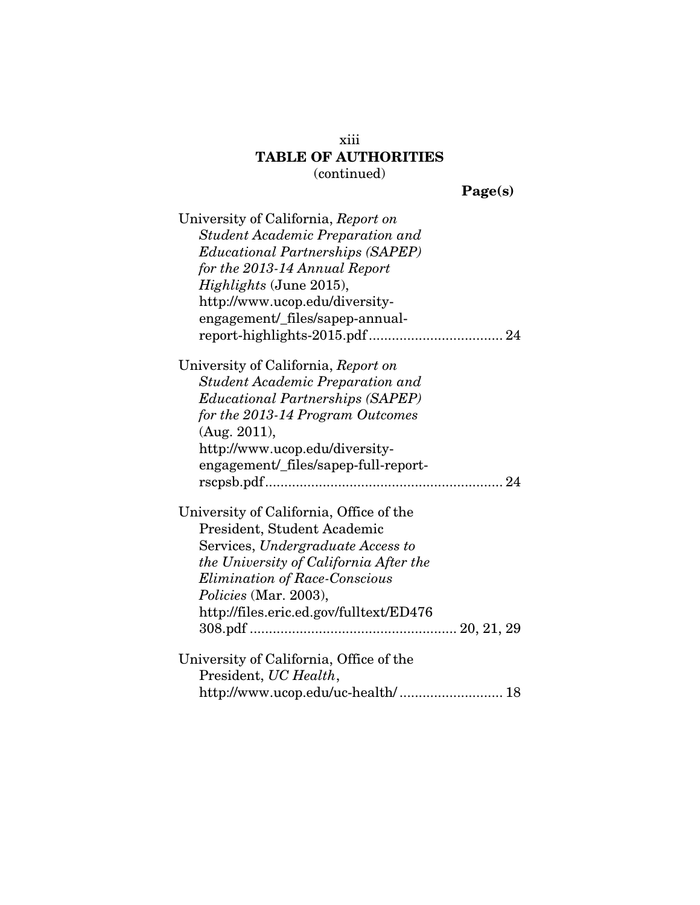Page(s)

| University of California, Report on     |
|-----------------------------------------|
| Student Academic Preparation and        |
| <b>Educational Partnerships (SAPEP)</b> |
| for the 2013-14 Annual Report           |
| <i>Highlights</i> (June 2015),          |
| http://www.ucop.edu/diversity-          |
| engagement/_files/sapep-annual-         |
|                                         |
| University of California, Report on     |
| <b>Student Academic Preparation and</b> |
| <i>Educational Partnerships (SAPEP)</i> |
| for the 2013-14 Program Outcomes        |
| (Aug. 2011),                            |
| http://www.ucop.edu/diversity-          |
| engagement/_files/sapep-full-report-    |
|                                         |
| University of California, Office of the |
| President, Student Academic             |
| Services, Undergraduate Access to       |
| the University of California After the  |
| <b>Elimination of Race-Conscious</b>    |
| <i>Policies</i> (Mar. 2003),            |
| http://files.eric.ed.gov/fulltext/ED476 |
|                                         |
| University of California, Office of the |
| President, UC Health,                   |
| http://www.ucop.edu/uc-health/ 18       |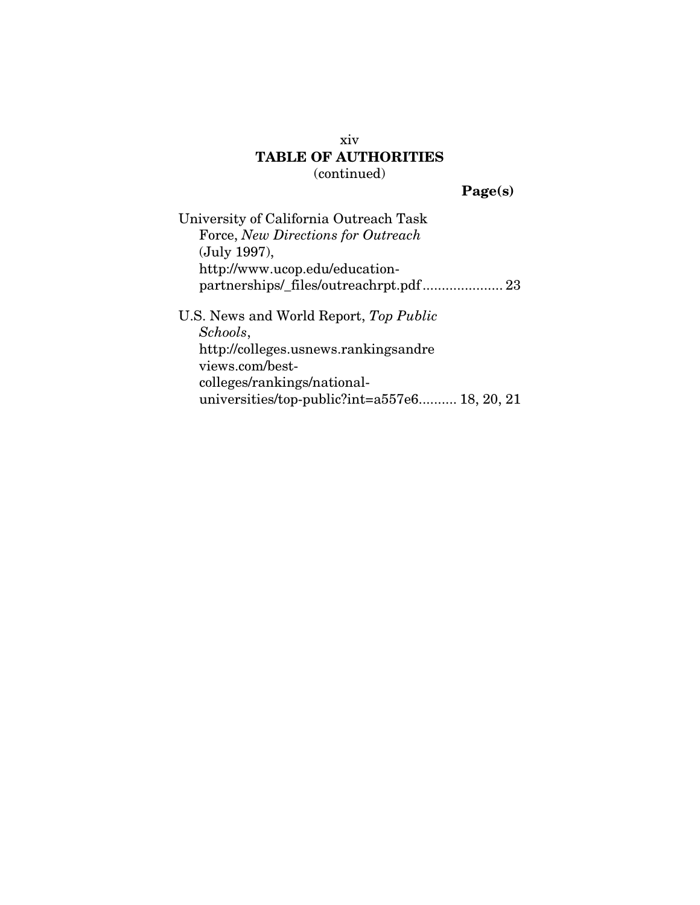Page(s)

| University of California Outreach Task        |
|-----------------------------------------------|
| Force, New Directions for Outreach            |
| (July 1997),                                  |
| http://www.ucop.edu/education-                |
|                                               |
| U.S. News and World Report, Top Public        |
| Schools,                                      |
| http://colleges.usnews.rankingsandre          |
| views.com/best-                               |
| colleges/rankings/national-                   |
| universities/top-public?int=a557e6 18, 20, 21 |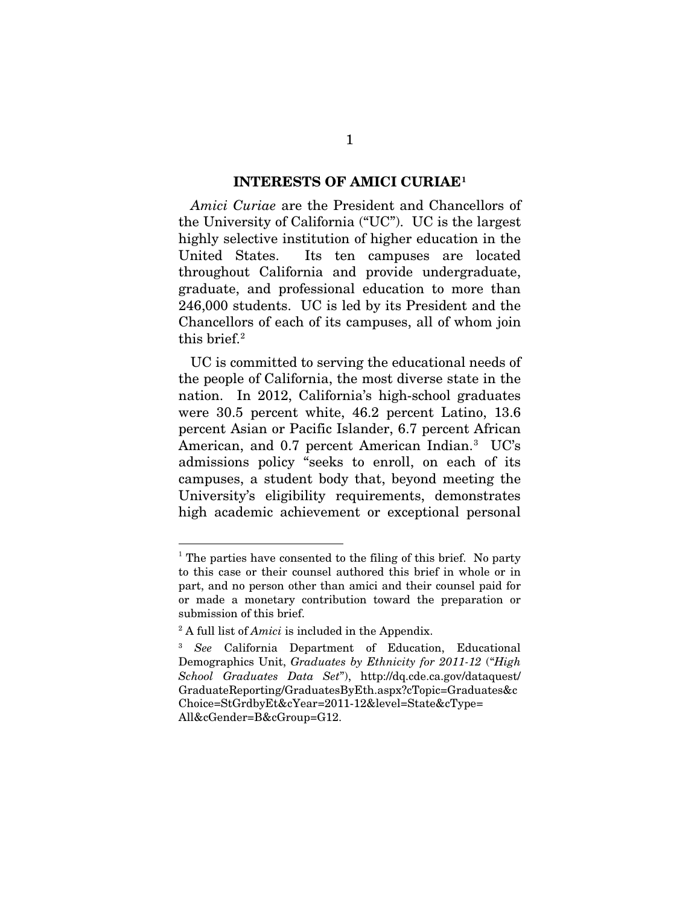#### INTERESTS OF AMICI CURIAE1

*Amici Curiae* are the President and Chancellors of the University of California ("UC"). UC is the largest highly selective institution of higher education in the United States. Its ten campuses are located throughout California and provide undergraduate, graduate, and professional education to more than 246,000 students. UC is led by its President and the Chancellors of each of its campuses, all of whom join this brief.2

UC is committed to serving the educational needs of the people of California, the most diverse state in the nation. In 2012, California's high-school graduates were 30.5 percent white, 46.2 percent Latino, 13.6 percent Asian or Pacific Islander, 6.7 percent African American, and 0.7 percent American Indian.<sup>3</sup> UC's admissions policy "seeks to enroll, on each of its campuses, a student body that, beyond meeting the University's eligibility requirements, demonstrates high academic achievement or exceptional personal

 $\overline{a}$ 

 $<sup>1</sup>$  The parties have consented to the filing of this brief. No party</sup> to this case or their counsel authored this brief in whole or in part, and no person other than amici and their counsel paid for or made a monetary contribution toward the preparation or submission of this brief.

<sup>2</sup> A full list of *Amici* is included in the Appendix.

<sup>3</sup> *See* California Department of Education, Educational Demographics Unit, *Graduates by Ethnicity for 2011-12* ("*High School Graduates Data Set*"), http://dq.cde.ca.gov/dataquest/ GraduateReporting/GraduatesByEth.aspx?cTopic=Graduates&c Choice=StGrdbyEt&cYear=2011-12&level=State&cType= All&cGender=B&cGroup=G12.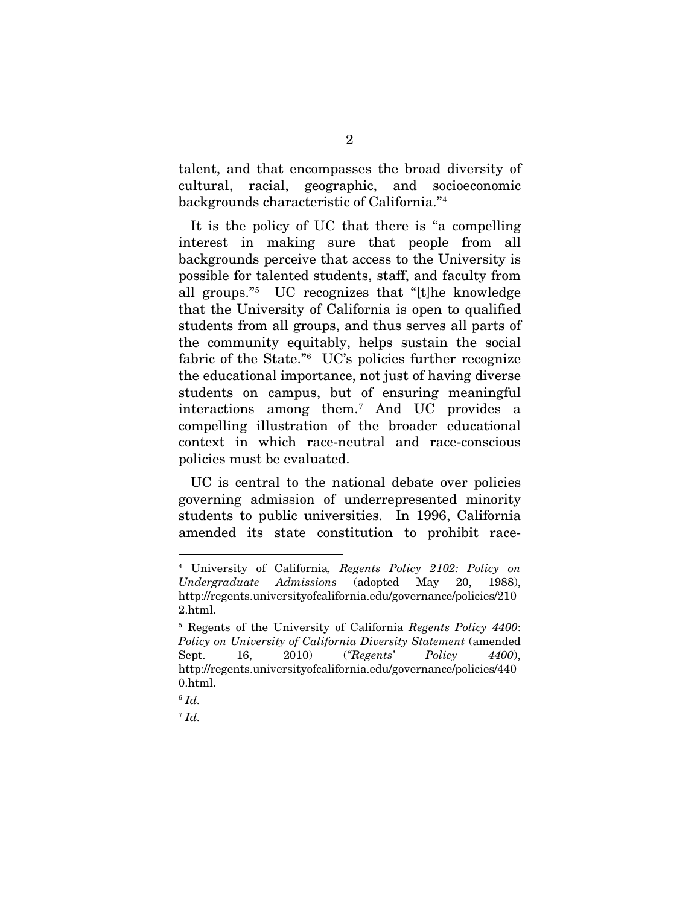talent, and that encompasses the broad diversity of cultural, racial, geographic, and socioeconomic backgrounds characteristic of California."4

It is the policy of UC that there is "a compelling interest in making sure that people from all backgrounds perceive that access to the University is possible for talented students, staff, and faculty from all groups."5 UC recognizes that "[t]he knowledge that the University of California is open to qualified students from all groups, and thus serves all parts of the community equitably, helps sustain the social fabric of the State."6 UC's policies further recognize the educational importance, not just of having diverse students on campus, but of ensuring meaningful interactions among them.7 And UC provides a compelling illustration of the broader educational context in which race-neutral and race-conscious policies must be evaluated.

UC is central to the national debate over policies governing admission of underrepresented minority students to public universities. In 1996, California amended its state constitution to prohibit race-

 <sup>4</sup> University of California*, Regents Policy 2102: Policy on Undergraduate Admissions* (adopted May 20, 1988), http://regents.universityofcalifornia.edu/governance/policies/210 2.html.

<sup>5</sup> Regents of the University of California *Regents Policy 4400*: *Policy on University of California Diversity Statement* (amended Sept. 16, 2010) (*"Regents' Policy 4400*), http://regents.universityofcalifornia.edu/governance/policies/440 0.html.

<sup>6</sup> *Id.*

<sup>7</sup> *Id.*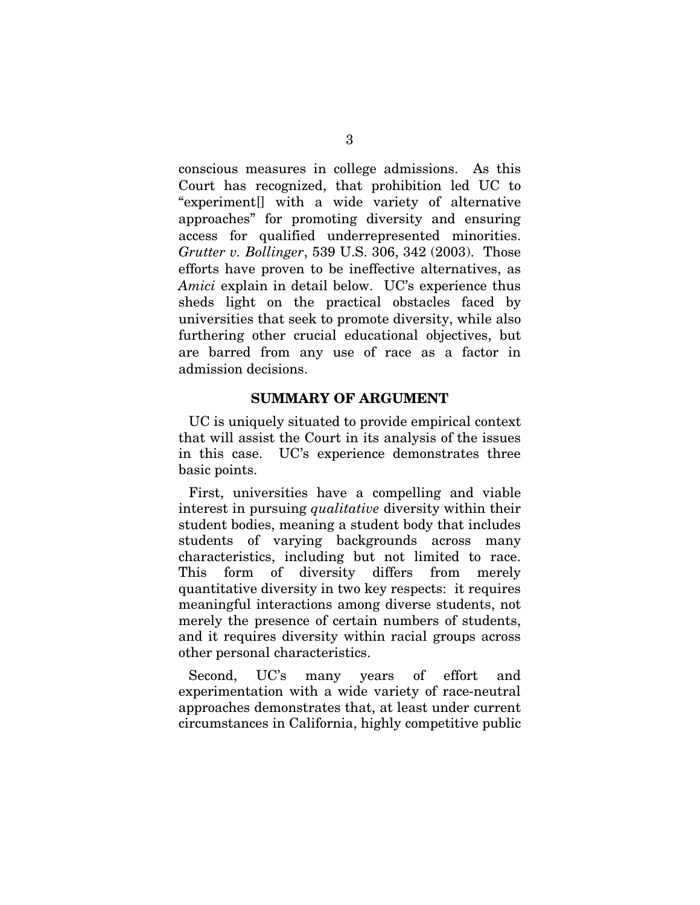conscious measures in college admissions. As this Court has recognized, that prohibition led UC to "experiment[] with a wide variety of alternative approaches" for promoting diversity and ensuring access for qualified underrepresented minorities. *Grutter v. Bollinger*, 539 U.S. 306, 342 (2003). Those efforts have proven to be ineffective alternatives, as *Amici* explain in detail below. UC's experience thus sheds light on the practical obstacles faced by universities that seek to promote diversity, while also furthering other crucial educational objectives, but are barred from any use of race as a factor in admission decisions.

#### SUMMARY OF ARGUMENT

UC is uniquely situated to provide empirical context that will assist the Court in its analysis of the issues in this case. UC's experience demonstrates three basic points.

First, universities have a compelling and viable interest in pursuing *qualitative* diversity within their student bodies, meaning a student body that includes students of varying backgrounds across many characteristics, including but not limited to race. This form of diversity differs from merely quantitative diversity in two key respects: it requires meaningful interactions among diverse students, not merely the presence of certain numbers of students, and it requires diversity within racial groups across other personal characteristics.

Second, UC's many years of effort and experimentation with a wide variety of race-neutral approaches demonstrates that, at least under current circumstances in California, highly competitive public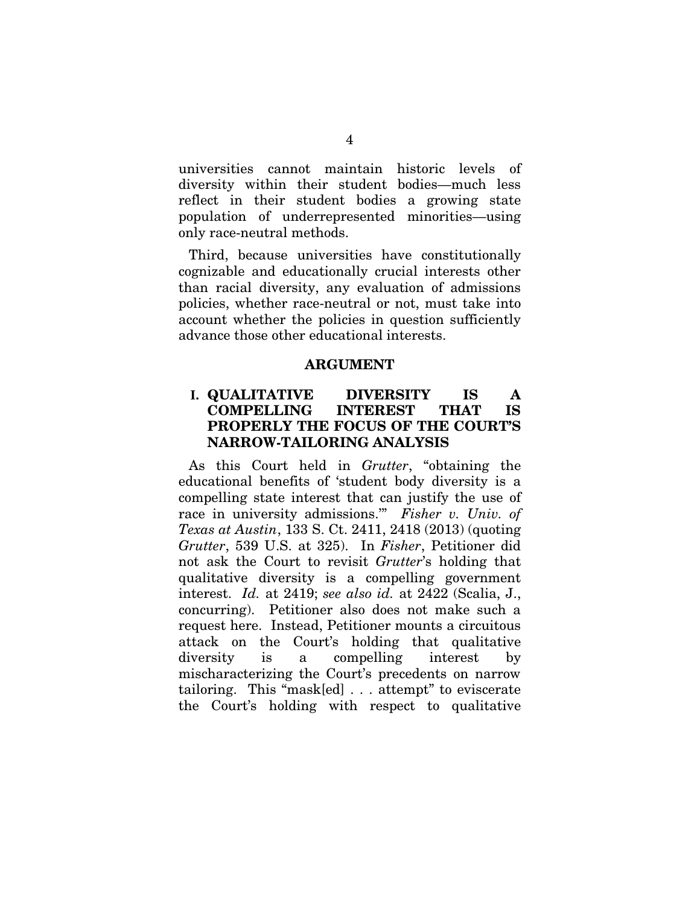universities cannot maintain historic levels of diversity within their student bodies—much less reflect in their student bodies a growing state population of underrepresented minorities—using only race-neutral methods.

Third, because universities have constitutionally cognizable and educationally crucial interests other than racial diversity, any evaluation of admissions policies, whether race-neutral or not, must take into account whether the policies in question sufficiently advance those other educational interests.

#### ARGUMENT

### **I.** QUALITATIVE DIVERSITY IS A COMPELLING INTEREST THAT IS PROPERLY THE FOCUS OF THE COURT'S NARROW-TAILORING ANALYSIS

As this Court held in *Grutter*, "obtaining the educational benefits of 'student body diversity is a compelling state interest that can justify the use of race in university admissions.'" *Fisher v. Univ. of Texas at Austin*, 133 S. Ct. 2411, 2418 (2013) (quoting *Grutter*, 539 U.S. at 325). In *Fisher*, Petitioner did not ask the Court to revisit *Grutter*'s holding that qualitative diversity is a compelling government interest. *Id.* at 2419; *see also id.* at 2422 (Scalia, J., concurring). Petitioner also does not make such a request here. Instead, Petitioner mounts a circuitous attack on the Court's holding that qualitative diversity is a compelling interest by mischaracterizing the Court's precedents on narrow tailoring. This "mask[ed] . . . attempt" to eviscerate the Court's holding with respect to qualitative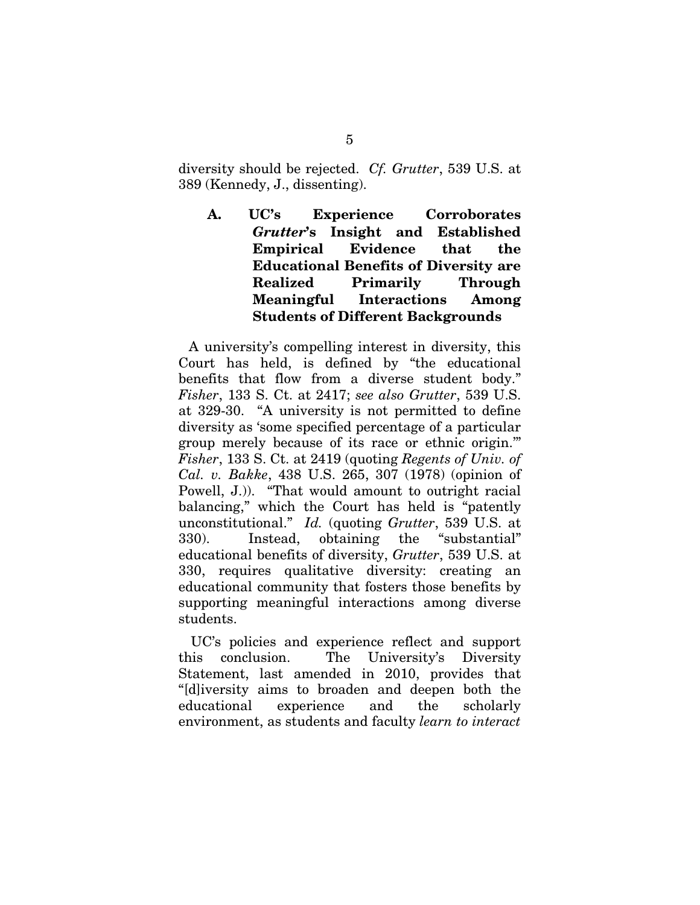diversity should be rejected. *Cf. Grutter*, 539 U.S. at 389 (Kennedy, J., dissenting).

A. UC's Experience Corroborates *Grutter*'s Insight and Established Empirical Evidence that the Educational Benefits of Diversity are Realized Primarily Through Meaningful Interactions Among Students of Different Backgrounds

A university's compelling interest in diversity, this Court has held, is defined by "the educational benefits that flow from a diverse student body." *Fisher*, 133 S. Ct. at 2417; *see also Grutter*, 539 U.S. at 329-30. "A university is not permitted to define diversity as 'some specified percentage of a particular group merely because of its race or ethnic origin.'" *Fisher*, 133 S. Ct. at 2419 (quoting *Regents of Univ. of Cal. v. Bakke*, 438 U.S. 265, 307 (1978) (opinion of Powell, J.)). "That would amount to outright racial balancing," which the Court has held is "patently unconstitutional." *Id.* (quoting *Grutter*, 539 U.S. at 330). Instead, obtaining the "substantial" educational benefits of diversity, *Grutter*, 539 U.S. at 330, requires qualitative diversity: creating an educational community that fosters those benefits by supporting meaningful interactions among diverse students.

UC's policies and experience reflect and support this conclusion. The University's Diversity Statement, last amended in 2010, provides that "[d]iversity aims to broaden and deepen both the educational experience and the scholarly environment, as students and faculty *learn to interact*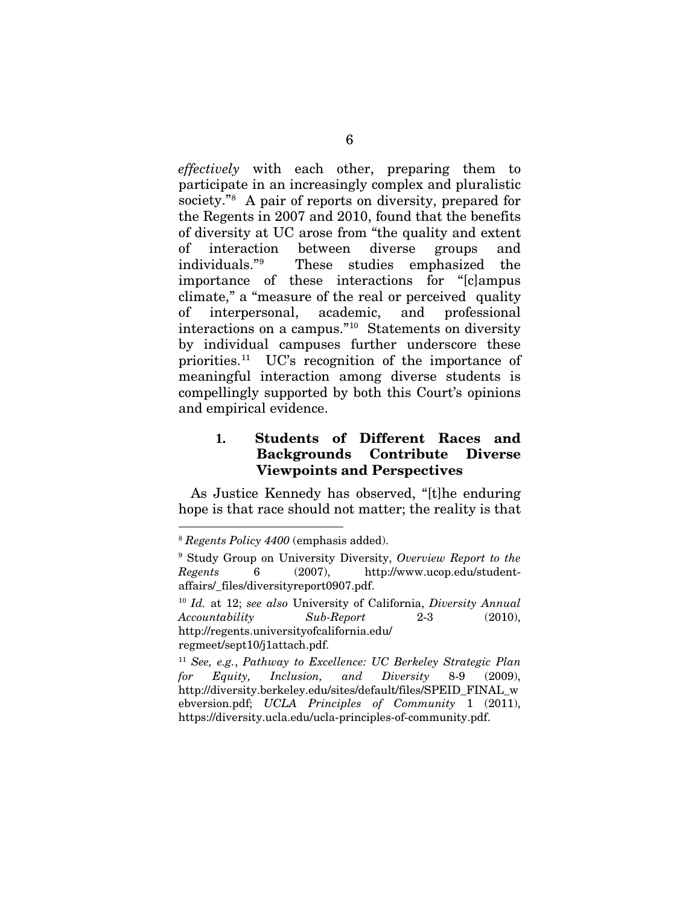*effectively* with each other, preparing them to participate in an increasingly complex and pluralistic society."<sup>8</sup> A pair of reports on diversity, prepared for the Regents in 2007 and 2010, found that the benefits of diversity at UC arose from "the quality and extent of interaction between diverse groups and individuals."9 These studies emphasized the importance of these interactions for "[c]ampus climate," a "measure of the real or perceived quality of interpersonal, academic, and professional interactions on a campus."10 Statements on diversity by individual campuses further underscore these priorities.11 UC's recognition of the importance of meaningful interaction among diverse students is compellingly supported by both this Court's opinions and empirical evidence.

### **1.** Students of Different Races and Backgrounds Contribute Diverse Viewpoints and Perspectives

As Justice Kennedy has observed, "[t]he enduring hope is that race should not matter; the reality is that

<sup>10</sup> *Id.* at 12; *see also* University of California, *Diversity Annual Accountability Sub-Report* 2-3 (2010), http://regents.universityofcalifornia.edu/ regmeet/sept10/j1attach.pdf.

<sup>11</sup> *See, e.g.*, *Pathway to Excellence: UC Berkeley Strategic Plan for Equity, Inclusion, and Diversity* 8-9 (2009), http://diversity.berkeley.edu/sites/default/files/SPEID\_FINAL\_w ebversion.pdf; *UCLA Principles of Community* 1 (2011), https://diversity.ucla.edu/ucla-principles-of-community.pdf.

 <sup>8</sup> *Regents Policy 4400* (emphasis added).

<sup>9</sup> Study Group on University Diversity, *Overview Report to the Regents* 6 (2007), http://www.ucop.edu/studentaffairs/\_files/diversityreport0907.pdf.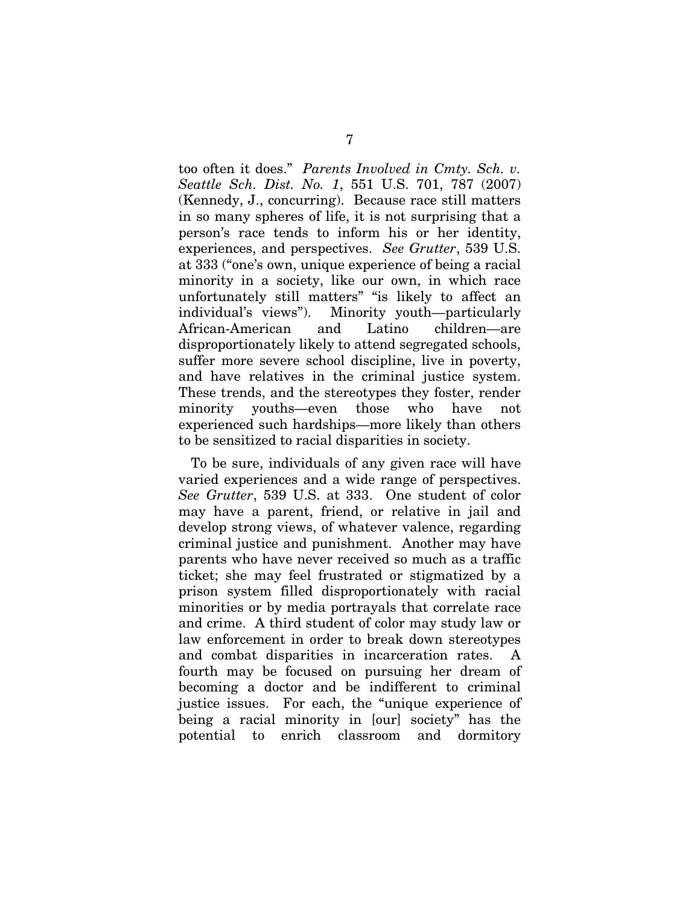too often it does." *Parents Involved in Cmty. Sch. v. Seattle Sch. Dist. No. 1*, 551 U.S. 701, 787 (2007) (Kennedy, J., concurring). Because race still matters in so many spheres of life, it is not surprising that a person's race tends to inform his or her identity, experiences, and perspectives. *See Grutter*, 539 U.S. at 333 ("one's own, unique experience of being a racial minority in a society, like our own, in which race unfortunately still matters" "is likely to affect an individual's views"). Minority youth—particularly African-American and Latino children—are disproportionately likely to attend segregated schools, suffer more severe school discipline, live in poverty, and have relatives in the criminal justice system. These trends, and the stereotypes they foster, render minority youths—even those who have not experienced such hardships—more likely than others to be sensitized to racial disparities in society.

To be sure, individuals of any given race will have varied experiences and a wide range of perspectives. *See Grutter*, 539 U.S. at 333. One student of color may have a parent, friend, or relative in jail and develop strong views, of whatever valence, regarding criminal justice and punishment. Another may have parents who have never received so much as a traffic ticket; she may feel frustrated or stigmatized by a prison system filled disproportionately with racial minorities or by media portrayals that correlate race and crime. A third student of color may study law or law enforcement in order to break down stereotypes and combat disparities in incarceration rates. A fourth may be focused on pursuing her dream of becoming a doctor and be indifferent to criminal justice issues. For each, the "unique experience of being a racial minority in [our] society" has the potential to enrich classroom and dormitory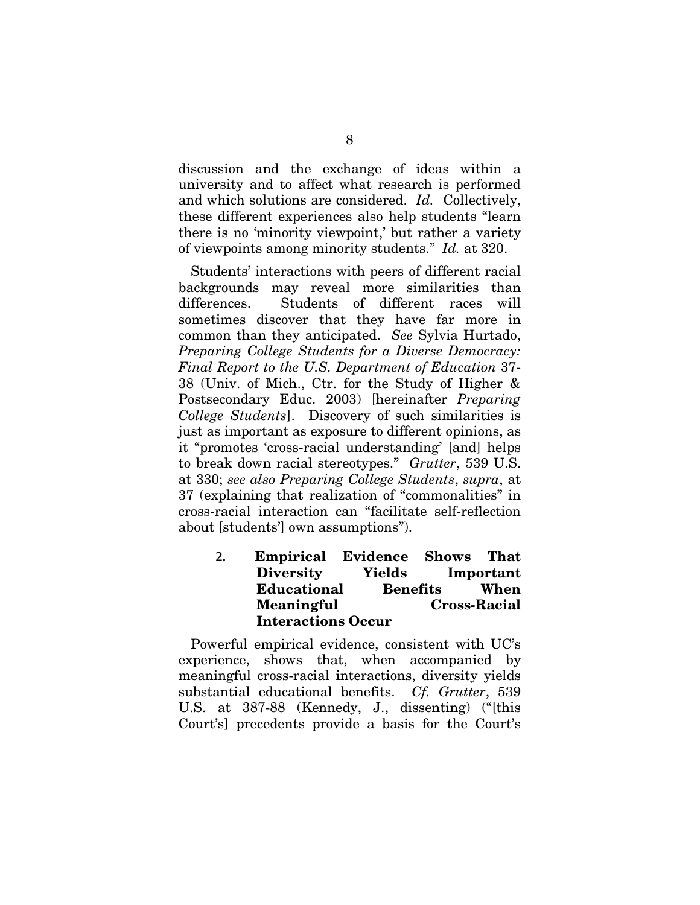discussion and the exchange of ideas within a university and to affect what research is performed and which solutions are considered. *Id.* Collectively, these different experiences also help students "learn there is no 'minority viewpoint,' but rather a variety of viewpoints among minority students." *Id.* at 320.

Students' interactions with peers of different racial backgrounds may reveal more similarities than differences. Students of different races will sometimes discover that they have far more in common than they anticipated. *See* Sylvia Hurtado, *Preparing College Students for a Diverse Democracy: Final Report to the U.S. Department of Education* 37- 38 (Univ. of Mich., Ctr. for the Study of Higher & Postsecondary Educ. 2003) [hereinafter *Preparing College Students*]. Discovery of such similarities is just as important as exposure to different opinions, as it "promotes 'cross-racial understanding' [and] helps to break down racial stereotypes." *Grutter*, 539 U.S. at 330; *see also Preparing College Students*, *supra*, at 37 (explaining that realization of "commonalities" in cross-racial interaction can "facilitate self-reflection about [students'] own assumptions").

> **2.** Empirical Evidence Shows That Diversity Yields Important Educational Benefits When Meaningful Cross-Racial Interactions Occur

Powerful empirical evidence, consistent with UC's experience, shows that, when accompanied by meaningful cross-racial interactions, diversity yields substantial educational benefits. *Cf. Grutter*, 539 U.S. at 387-88 (Kennedy, J., dissenting) ("[this Court's] precedents provide a basis for the Court's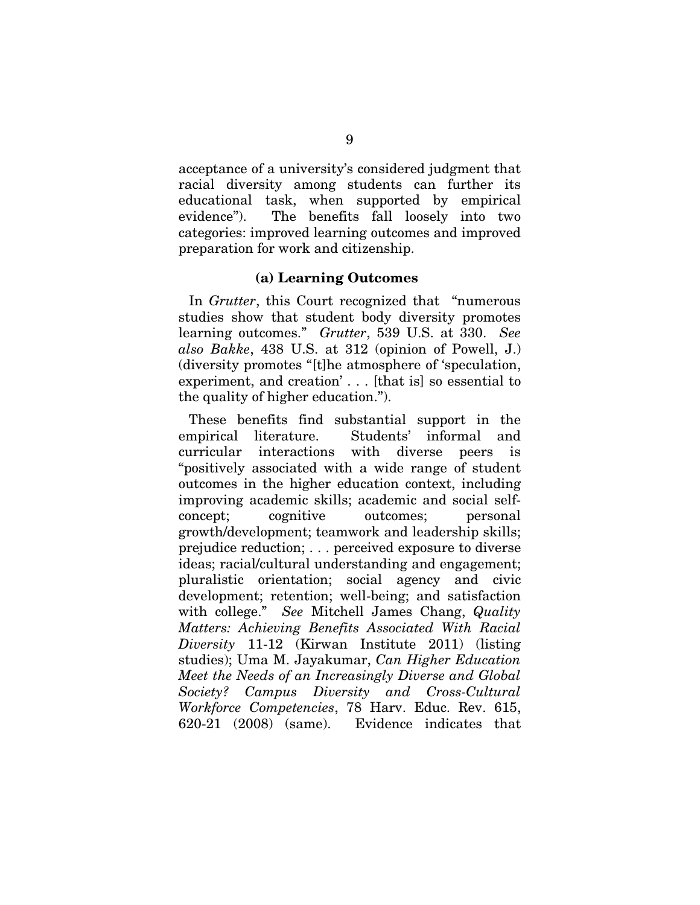acceptance of a university's considered judgment that racial diversity among students can further its educational task, when supported by empirical evidence"). The benefits fall loosely into two categories: improved learning outcomes and improved preparation for work and citizenship.

#### (a) Learning Outcomes

In *Grutter*, this Court recognized that "numerous studies show that student body diversity promotes learning outcomes." *Grutter*, 539 U.S. at 330. *See also Bakke*, 438 U.S. at 312 (opinion of Powell, J.) (diversity promotes "[t]he atmosphere of 'speculation, experiment, and creation' . . . [that is] so essential to the quality of higher education.").

These benefits find substantial support in the empirical literature. Students' informal and curricular interactions with diverse peers is "positively associated with a wide range of student outcomes in the higher education context, including improving academic skills; academic and social selfconcept; cognitive outcomes; personal growth/development; teamwork and leadership skills; prejudice reduction; . . . perceived exposure to diverse ideas; racial/cultural understanding and engagement; pluralistic orientation; social agency and civic development; retention; well-being; and satisfaction with college." *See* Mitchell James Chang, *Quality Matters: Achieving Benefits Associated With Racial Diversity* 11-12 (Kirwan Institute 2011) (listing studies); Uma M. Jayakumar, *Can Higher Education Meet the Needs of an Increasingly Diverse and Global Society? Campus Diversity and Cross-Cultural Workforce Competencies*, 78 Harv. Educ. Rev. 615, 620-21 (2008) (same). Evidence indicates that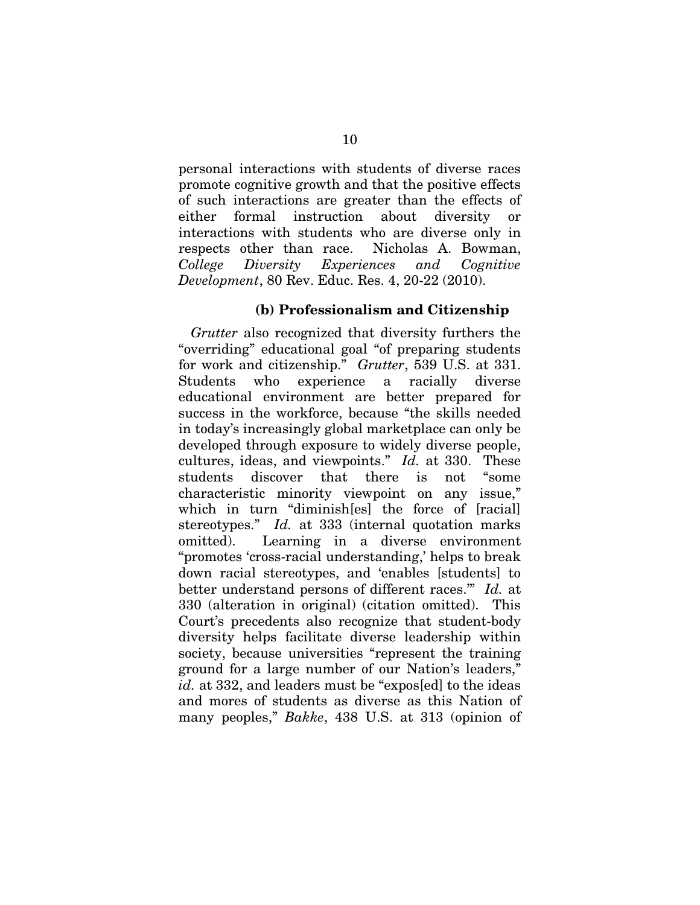personal interactions with students of diverse races promote cognitive growth and that the positive effects of such interactions are greater than the effects of either formal instruction about diversity or interactions with students who are diverse only in respects other than race. Nicholas A. Bowman, *College Diversity Experiences and Cognitive Development*, 80 Rev. Educ. Res. 4, 20-22 (2010).

#### (b) Professionalism and Citizenship

*Grutter* also recognized that diversity furthers the "overriding" educational goal "of preparing students for work and citizenship." *Grutter*, 539 U.S. at 331. Students who experience a racially diverse educational environment are better prepared for success in the workforce, because "the skills needed in today's increasingly global marketplace can only be developed through exposure to widely diverse people, cultures, ideas, and viewpoints." *Id.* at 330. These students discover that there is not "some characteristic minority viewpoint on any issue," which in turn "diminish[es] the force of [racial] stereotypes." *Id.* at 333 (internal quotation marks omitted). Learning in a diverse environment "promotes 'cross-racial understanding,' helps to break down racial stereotypes, and 'enables [students] to better understand persons of different races.'" *Id.* at 330 (alteration in original) (citation omitted). This Court's precedents also recognize that student-body diversity helps facilitate diverse leadership within society, because universities "represent the training ground for a large number of our Nation's leaders," *id.* at 332, and leaders must be "expos[ed] to the ideas and mores of students as diverse as this Nation of many peoples," *Bakke*, 438 U.S. at 313 (opinion of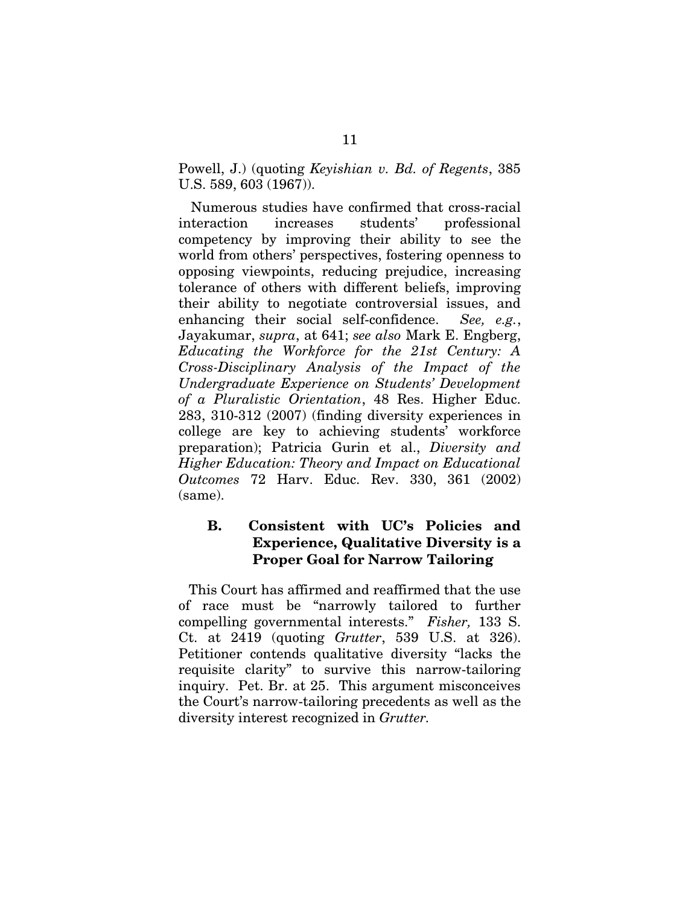Powell, J.) (quoting *Keyishian v. Bd. of Regents*, 385 U.S. 589, 603 (1967)).

Numerous studies have confirmed that cross-racial interaction increases students' professional competency by improving their ability to see the world from others' perspectives, fostering openness to opposing viewpoints, reducing prejudice, increasing tolerance of others with different beliefs, improving their ability to negotiate controversial issues, and enhancing their social self-confidence. *See, e.g.*, Jayakumar, *supra*, at 641; *see also* Mark E. Engberg, *Educating the Workforce for the 21st Century: A Cross-Disciplinary Analysis of the Impact of the Undergraduate Experience on Students' Development of a Pluralistic Orientation*, 48 Res. Higher Educ. 283, 310-312 (2007) (finding diversity experiences in college are key to achieving students' workforce preparation); Patricia Gurin et al., *Diversity and Higher Education: Theory and Impact on Educational Outcomes* 72 Harv. Educ. Rev. 330, 361 (2002) (same).

## B. Consistent with UC's Policies and Experience, Qualitative Diversity is a Proper Goal for Narrow Tailoring

This Court has affirmed and reaffirmed that the use of race must be "narrowly tailored to further compelling governmental interests." *Fisher,* 133 S. Ct. at 2419 (quoting *Grutter*, 539 U.S. at 326). Petitioner contends qualitative diversity "lacks the requisite clarity" to survive this narrow-tailoring inquiry. Pet. Br. at 25. This argument misconceives the Court's narrow-tailoring precedents as well as the diversity interest recognized in *Grutter.*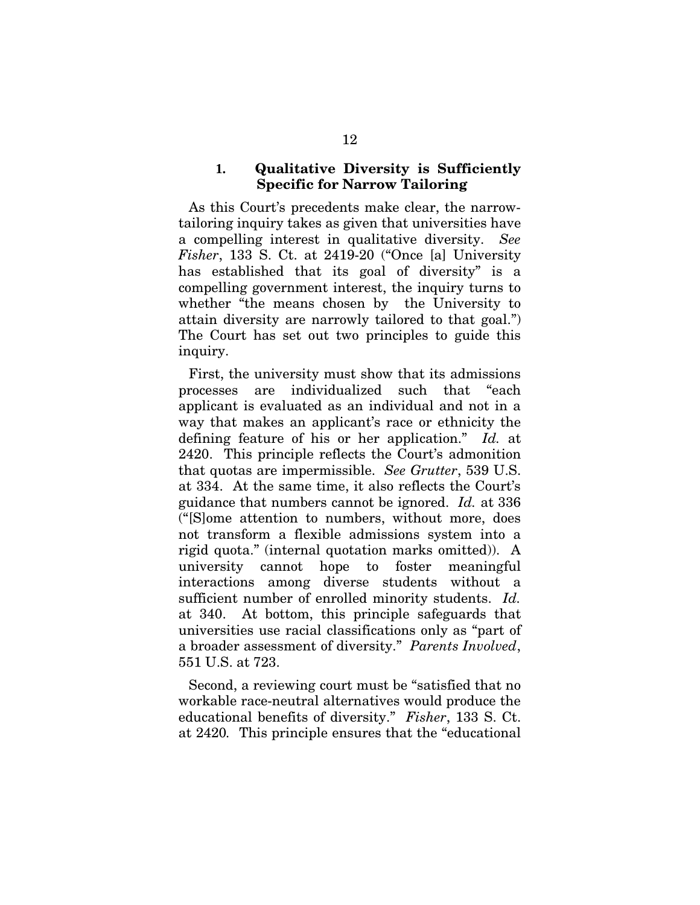#### **1.** Qualitative Diversity is Sufficiently Specific for Narrow Tailoring

As this Court's precedents make clear, the narrowtailoring inquiry takes as given that universities have a compelling interest in qualitative diversity. *See Fisher*, 133 S. Ct. at 2419-20 ("Once [a] University has established that its goal of diversity" is a compelling government interest, the inquiry turns to whether "the means chosen by the University to attain diversity are narrowly tailored to that goal.") The Court has set out two principles to guide this inquiry.

First, the university must show that its admissions processes are individualized such that "each applicant is evaluated as an individual and not in a way that makes an applicant's race or ethnicity the defining feature of his or her application." *Id.* at 2420. This principle reflects the Court's admonition that quotas are impermissible. *See Grutter*, 539 U.S. at 334. At the same time, it also reflects the Court's guidance that numbers cannot be ignored. *Id.* at 336 ("[S]ome attention to numbers, without more, does not transform a flexible admissions system into a rigid quota." (internal quotation marks omitted)). A university cannot hope to foster meaningful interactions among diverse students without a sufficient number of enrolled minority students. *Id.*  at 340. At bottom, this principle safeguards that universities use racial classifications only as "part of a broader assessment of diversity." *Parents Involved*, 551 U.S. at 723.

Second, a reviewing court must be "satisfied that no workable race-neutral alternatives would produce the educational benefits of diversity." *Fisher*, 133 S. Ct. at 2420*.* This principle ensures that the "educational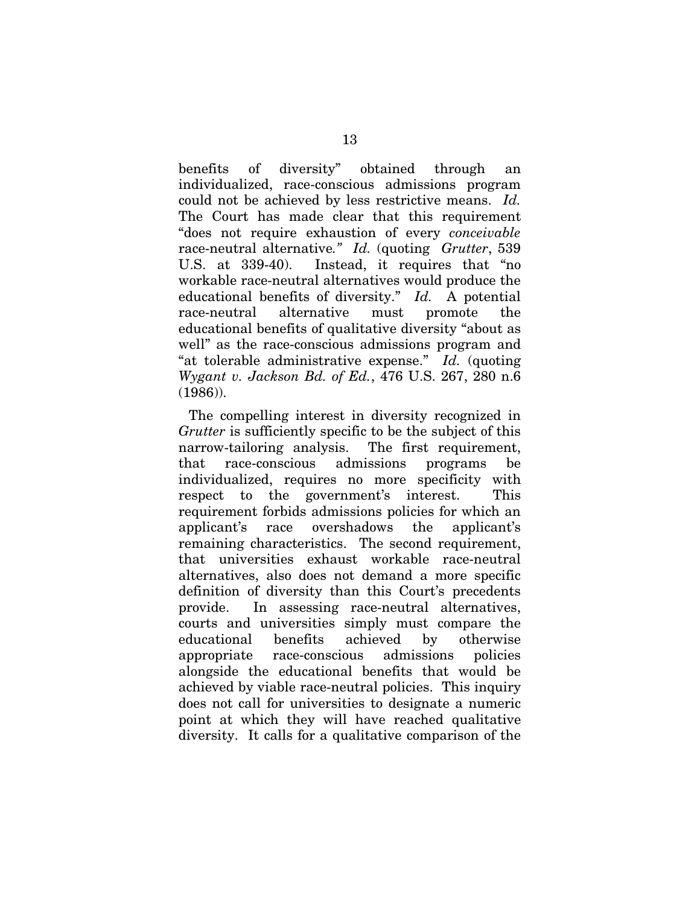benefits of diversity" obtained through an individualized, race-conscious admissions program could not be achieved by less restrictive means. *Id.* The Court has made clear that this requirement "does not require exhaustion of every *conceivable* race-neutral alternative*." Id.* (quoting *Grutter*, 539 U.S. at 339-40). Instead, it requires that "no workable race-neutral alternatives would produce the educational benefits of diversity." *Id.* A potential race-neutral alternative must promote the educational benefits of qualitative diversity "about as well" as the race-conscious admissions program and "at tolerable administrative expense." *Id.* (quoting *Wygant v. Jackson Bd. of Ed.*, 476 U.S. 267, 280 n.6 (1986)).

The compelling interest in diversity recognized in *Grutter* is sufficiently specific to be the subject of this narrow-tailoring analysis. The first requirement, that race-conscious admissions programs be individualized, requires no more specificity with respect to the government's interest. This requirement forbids admissions policies for which an applicant's race overshadows the applicant's remaining characteristics. The second requirement, that universities exhaust workable race-neutral alternatives, also does not demand a more specific definition of diversity than this Court's precedents provide. In assessing race-neutral alternatives, courts and universities simply must compare the educational benefits achieved by otherwise appropriate race-conscious admissions policies alongside the educational benefits that would be achieved by viable race-neutral policies. This inquiry does not call for universities to designate a numeric point at which they will have reached qualitative diversity. It calls for a qualitative comparison of the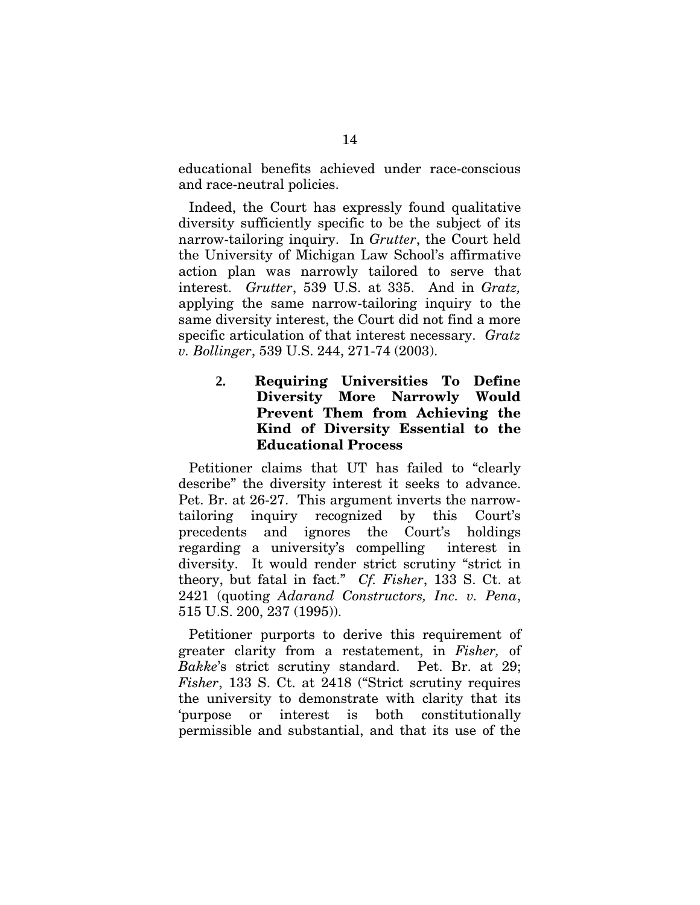educational benefits achieved under race-conscious and race-neutral policies.

Indeed, the Court has expressly found qualitative diversity sufficiently specific to be the subject of its narrow-tailoring inquiry. In *Grutter*, the Court held the University of Michigan Law School's affirmative action plan was narrowly tailored to serve that interest. *Grutter*, 539 U.S. at 335. And in *Gratz,*  applying the same narrow-tailoring inquiry to the same diversity interest, the Court did not find a more specific articulation of that interest necessary. *Gratz v. Bollinger*, 539 U.S. 244, 271-74 (2003).

> **2.** Requiring Universities To Define Diversity More Narrowly Would Prevent Them from Achieving the Kind of Diversity Essential to the Educational Process

Petitioner claims that UT has failed to "clearly describe" the diversity interest it seeks to advance. Pet. Br. at 26-27. This argument inverts the narrowtailoring inquiry recognized by this Court's precedents and ignores the Court's holdings regarding a university's compelling interest in diversity. It would render strict scrutiny "strict in theory, but fatal in fact." *Cf. Fisher*, 133 S. Ct. at 2421 (quoting *Adarand Constructors, Inc. v. Pena*, 515 U.S. 200, 237 (1995)).

Petitioner purports to derive this requirement of greater clarity from a restatement, in *Fisher,* of *Bakke*'s strict scrutiny standard. Pet. Br. at 29; *Fisher*, 133 S. Ct. at 2418 ("Strict scrutiny requires the university to demonstrate with clarity that its 'purpose or interest is both constitutionally permissible and substantial, and that its use of the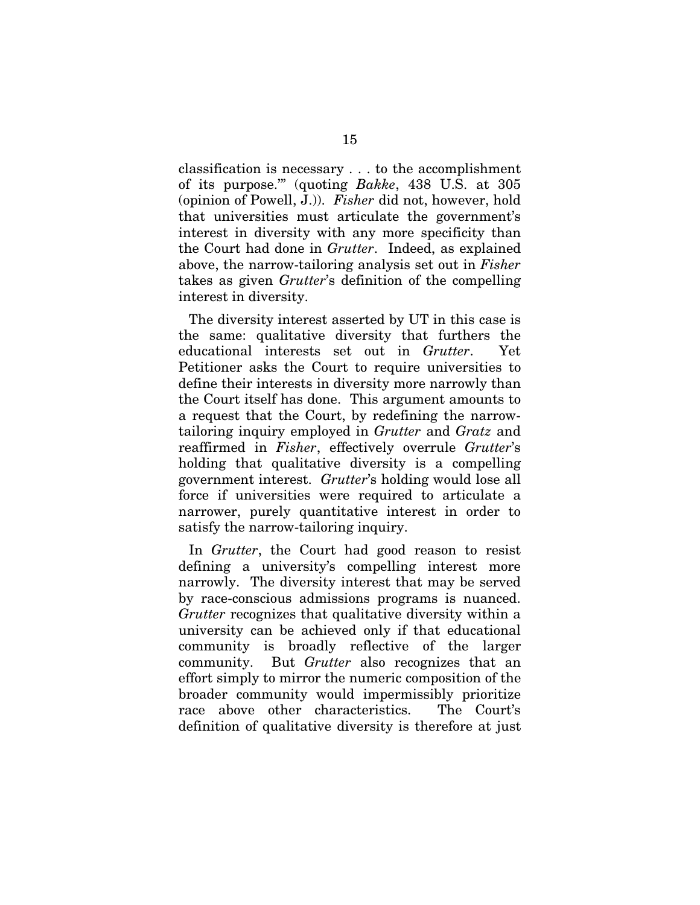classification is necessary . . . to the accomplishment of its purpose.'" (quoting *Bakke*, 438 U.S. at 305 (opinion of Powell, J.)). *Fisher* did not, however, hold that universities must articulate the government's interest in diversity with any more specificity than the Court had done in *Grutter*. Indeed, as explained above, the narrow-tailoring analysis set out in *Fisher*  takes as given *Grutter*'s definition of the compelling interest in diversity.

The diversity interest asserted by UT in this case is the same: qualitative diversity that furthers the educational interests set out in *Grutter*. Yet Petitioner asks the Court to require universities to define their interests in diversity more narrowly than the Court itself has done. This argument amounts to a request that the Court, by redefining the narrowtailoring inquiry employed in *Grutter* and *Gratz* and reaffirmed in *Fisher*, effectively overrule *Grutter*'s holding that qualitative diversity is a compelling government interest. *Grutter*'s holding would lose all force if universities were required to articulate a narrower, purely quantitative interest in order to satisfy the narrow-tailoring inquiry.

In *Grutter*, the Court had good reason to resist defining a university's compelling interest more narrowly. The diversity interest that may be served by race-conscious admissions programs is nuanced. *Grutter* recognizes that qualitative diversity within a university can be achieved only if that educational community is broadly reflective of the larger community. But *Grutter* also recognizes that an effort simply to mirror the numeric composition of the broader community would impermissibly prioritize race above other characteristics. The Court's definition of qualitative diversity is therefore at just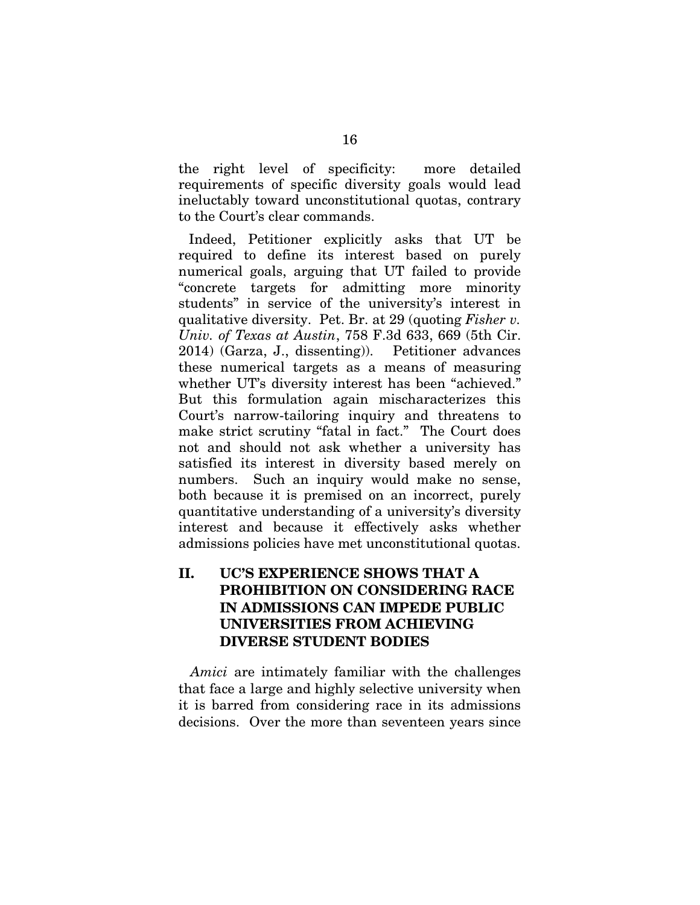the right level of specificity: more detailed requirements of specific diversity goals would lead ineluctably toward unconstitutional quotas, contrary to the Court's clear commands.

Indeed, Petitioner explicitly asks that UT be required to define its interest based on purely numerical goals, arguing that UT failed to provide "concrete targets for admitting more minority students" in service of the university's interest in qualitative diversity. Pet. Br. at 29 (quoting *Fisher v. Univ. of Texas at Austin*, 758 F.3d 633, 669 (5th Cir. 2014) (Garza, J., dissenting)). Petitioner advances these numerical targets as a means of measuring whether UT's diversity interest has been "achieved." But this formulation again mischaracterizes this Court's narrow-tailoring inquiry and threatens to make strict scrutiny "fatal in fact." The Court does not and should not ask whether a university has satisfied its interest in diversity based merely on numbers. Such an inquiry would make no sense, both because it is premised on an incorrect, purely quantitative understanding of a university's diversity interest and because it effectively asks whether admissions policies have met unconstitutional quotas.

## II. UC'S EXPERIENCE SHOWS THAT A PROHIBITION ON CONSIDERING RACE IN ADMISSIONS CAN IMPEDE PUBLIC UNIVERSITIES FROM ACHIEVING DIVERSE STUDENT BODIES

*Amici* are intimately familiar with the challenges that face a large and highly selective university when it is barred from considering race in its admissions decisions. Over the more than seventeen years since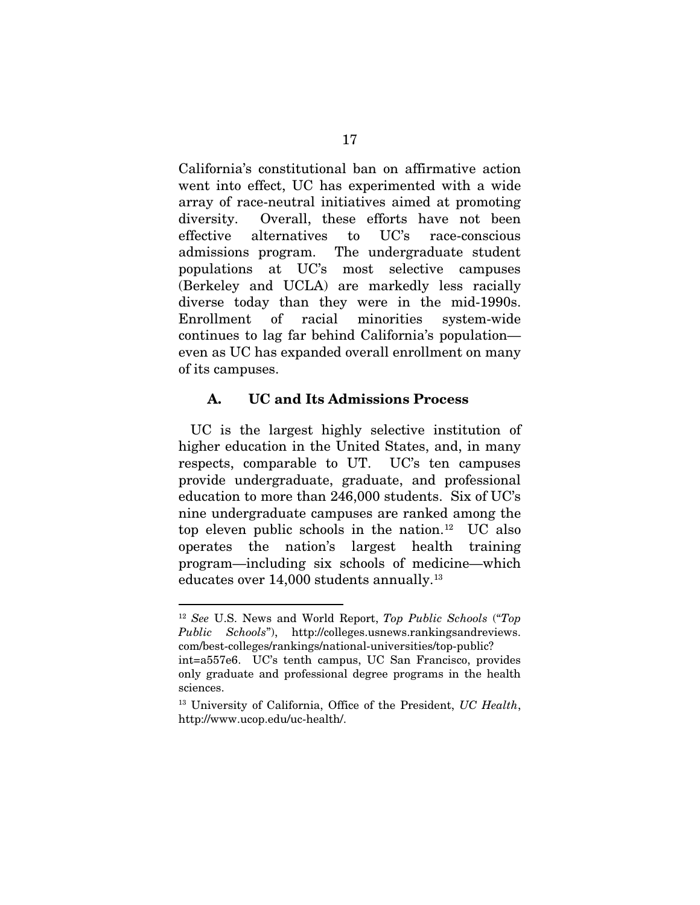California's constitutional ban on affirmative action went into effect, UC has experimented with a wide array of race-neutral initiatives aimed at promoting diversity. Overall, these efforts have not been effective alternatives to UC's race-conscious admissions program. The undergraduate student populations at UC's most selective campuses (Berkeley and UCLA) are markedly less racially diverse today than they were in the mid-1990s. Enrollment of racial minorities system-wide continues to lag far behind California's population even as UC has expanded overall enrollment on many of its campuses.

#### A. UC and Its Admissions Process

UC is the largest highly selective institution of higher education in the United States, and, in many respects, comparable to UT. UC's ten campuses provide undergraduate, graduate, and professional education to more than 246,000 students. Six of UC's nine undergraduate campuses are ranked among the top eleven public schools in the nation.<sup>12</sup> UC also operates the nation's largest health training program—including six schools of medicine—which educates over 14,000 students annually.13

 <sup>12</sup> *See* U.S. News and World Report, *Top Public Schools* ("*Top Public Schools*"), http://colleges.usnews.rankingsandreviews. com/best-colleges/rankings/national-universities/top-public?

int=a557e6. UC's tenth campus, UC San Francisco, provides only graduate and professional degree programs in the health sciences.

<sup>13</sup> University of California, Office of the President, *UC Health*, http://www.ucop.edu/uc-health/.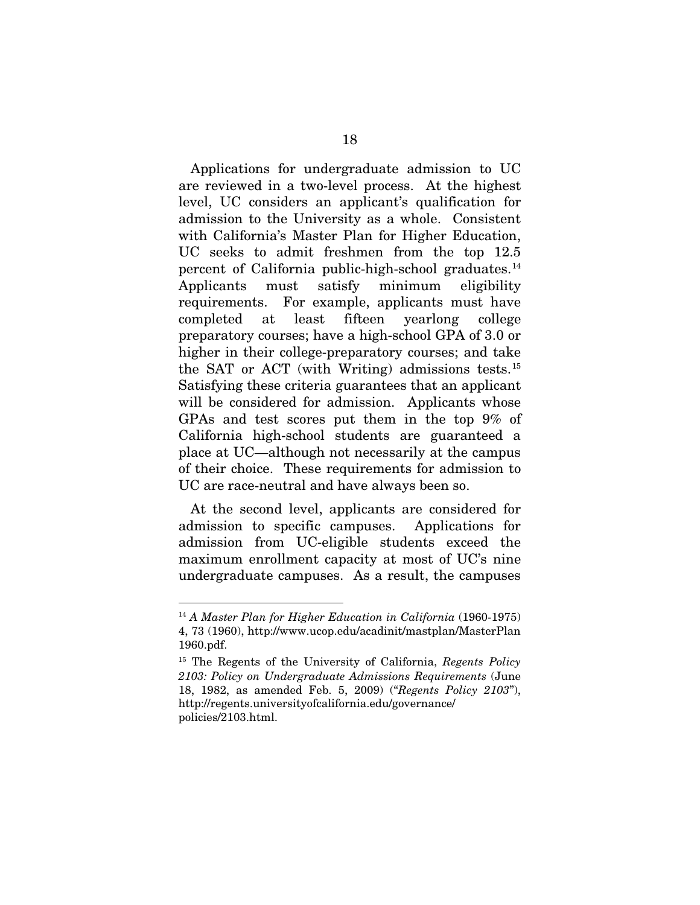Applications for undergraduate admission to UC are reviewed in a two-level process. At the highest level, UC considers an applicant's qualification for admission to the University as a whole. Consistent with California's Master Plan for Higher Education, UC seeks to admit freshmen from the top 12.5 percent of California public-high-school graduates.<sup>14</sup> Applicants must satisfy minimum eligibility requirements. For example, applicants must have completed at least fifteen yearlong college preparatory courses; have a high-school GPA of 3.0 or higher in their college-preparatory courses; and take the SAT or ACT (with Writing) admissions tests.<sup>15</sup> Satisfying these criteria guarantees that an applicant will be considered for admission. Applicants whose GPAs and test scores put them in the top 9% of California high-school students are guaranteed a place at UC—although not necessarily at the campus of their choice. These requirements for admission to UC are race-neutral and have always been so.

At the second level, applicants are considered for admission to specific campuses. Applications for admission from UC-eligible students exceed the maximum enrollment capacity at most of UC's nine undergraduate campuses. As a result, the campuses

 <sup>14</sup> *A Master Plan for Higher Education in California* (1960-1975) 4, 73 (1960), http://www.ucop.edu/acadinit/mastplan/MasterPlan 1960.pdf.

<sup>15</sup> The Regents of the University of California, *Regents Policy 2103: Policy on Undergraduate Admissions Requirements* (June 18, 1982, as amended Feb. 5, 2009) ("*Regents Policy 2103*"), http://regents.universityofcalifornia.edu/governance/ policies/2103.html.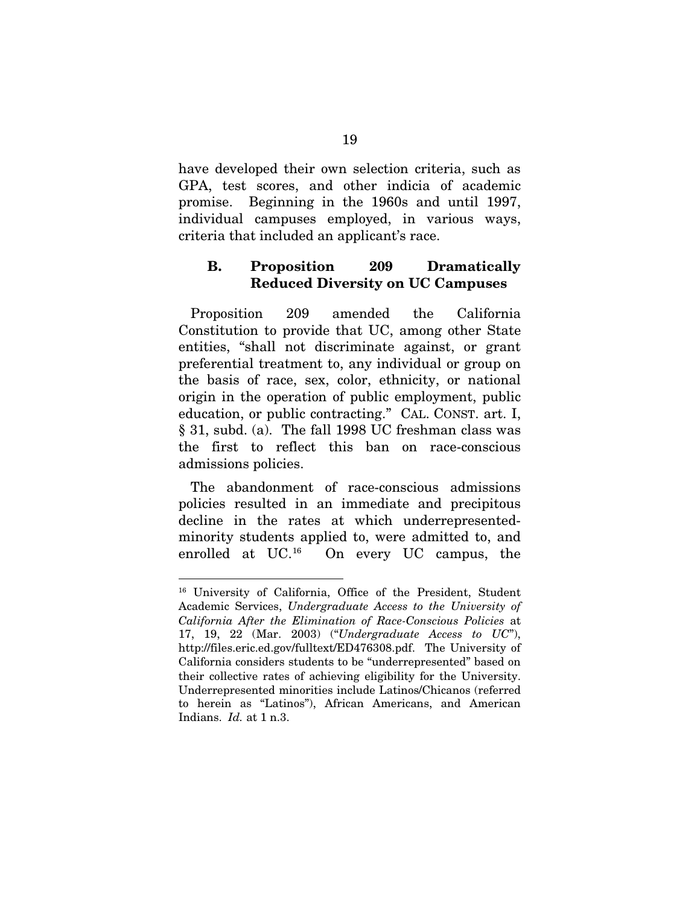have developed their own selection criteria, such as GPA, test scores, and other indicia of academic promise. Beginning in the 1960s and until 1997, individual campuses employed, in various ways, criteria that included an applicant's race.

### B. Proposition 209 Dramatically Reduced Diversity on UC Campuses

Proposition 209 amended the California Constitution to provide that UC, among other State entities, "shall not discriminate against, or grant preferential treatment to, any individual or group on the basis of race, sex, color, ethnicity, or national origin in the operation of public employment, public education, or public contracting." CAL. CONST. art. I, § 31, subd. (a). The fall 1998 UC freshman class was the first to reflect this ban on race-conscious admissions policies.

The abandonment of race-conscious admissions policies resulted in an immediate and precipitous decline in the rates at which underrepresentedminority students applied to, were admitted to, and enrolled at UC.16 On every UC campus, the

 <sup>16</sup> University of California, Office of the President, Student Academic Services, *Undergraduate Access to the University of California After the Elimination of Race-Conscious Policies* at 17, 19, 22 (Mar. 2003) ("*Undergraduate Access to UC*"), http://files.eric.ed.gov/fulltext/ED476308.pdf. The University of California considers students to be "underrepresented" based on their collective rates of achieving eligibility for the University. Underrepresented minorities include Latinos/Chicanos (referred to herein as "Latinos"), African Americans, and American Indians. *Id.* at 1 n.3.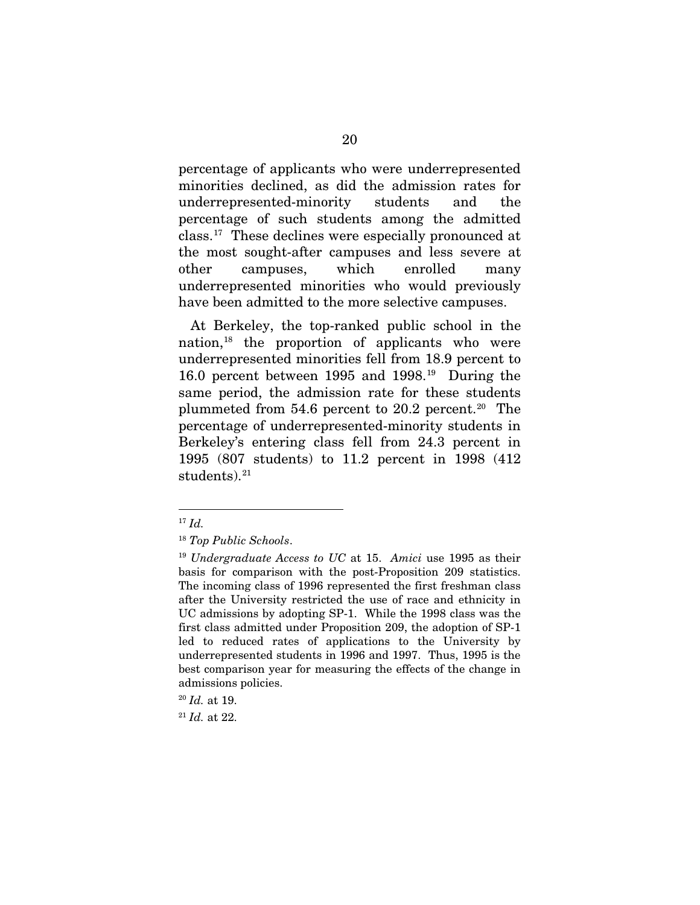percentage of applicants who were underrepresented minorities declined, as did the admission rates for underrepresented-minority students and the percentage of such students among the admitted class.17 These declines were especially pronounced at the most sought-after campuses and less severe at other campuses, which enrolled many underrepresented minorities who would previously have been admitted to the more selective campuses.

At Berkeley, the top-ranked public school in the nation,18 the proportion of applicants who were underrepresented minorities fell from 18.9 percent to 16.0 percent between 1995 and 1998.19 During the same period, the admission rate for these students plummeted from 54.6 percent to 20.2 percent.20 The percentage of underrepresented-minority students in Berkeley's entering class fell from 24.3 percent in 1995 (807 students) to 11.2 percent in 1998 (412 students). $21$ 

 <sup>17</sup> *Id.*

<sup>18</sup> *Top Public Schools*.

<sup>19</sup> *Undergraduate Access to UC* at 15. *Amici* use 1995 as their basis for comparison with the post-Proposition 209 statistics. The incoming class of 1996 represented the first freshman class after the University restricted the use of race and ethnicity in UC admissions by adopting SP-1. While the 1998 class was the first class admitted under Proposition 209, the adoption of SP-1 led to reduced rates of applications to the University by underrepresented students in 1996 and 1997. Thus, 1995 is the best comparison year for measuring the effects of the change in admissions policies.

<sup>20</sup> *Id.* at 19.

<sup>21</sup> *Id.* at 22.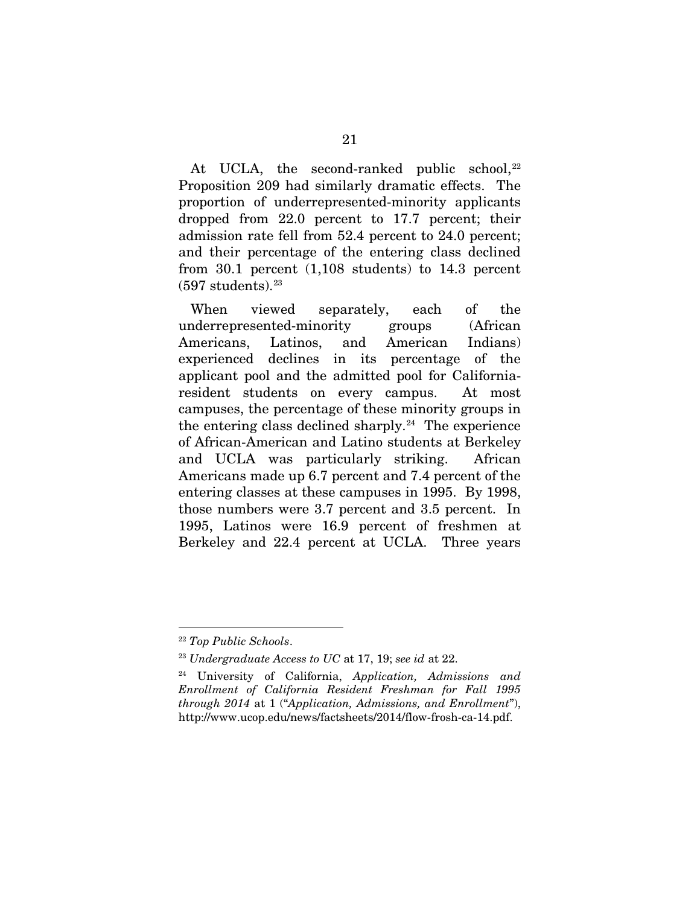At UCLA, the second-ranked public school, $^{22}$ Proposition 209 had similarly dramatic effects. The proportion of underrepresented-minority applicants dropped from 22.0 percent to 17.7 percent; their admission rate fell from 52.4 percent to 24.0 percent; and their percentage of the entering class declined from 30.1 percent (1,108 students) to 14.3 percent  $(597 \text{ students})$ .  $^{23}$ 

When viewed separately, each of the underrepresented-minority groups (African Americans, Latinos, and American Indians) experienced declines in its percentage of the applicant pool and the admitted pool for Californiaresident students on every campus. At most campuses, the percentage of these minority groups in the entering class declined sharply.<sup>24</sup> The experience of African-American and Latino students at Berkeley and UCLA was particularly striking. African Americans made up 6.7 percent and 7.4 percent of the entering classes at these campuses in 1995. By 1998, those numbers were 3.7 percent and 3.5 percent. In 1995, Latinos were 16.9 percent of freshmen at Berkeley and 22.4 percent at UCLA. Three years

 <sup>22</sup> *Top Public Schools*.

<sup>23</sup> *Undergraduate Access to UC* at 17, 19; *see id* at 22.

<sup>24</sup> University of California, *Application, Admissions and Enrollment of California Resident Freshman for Fall 1995 through 2014* at 1 ("*Application, Admissions, and Enrollment*"), http://www.ucop.edu/news/factsheets/2014/flow-frosh-ca-14.pdf.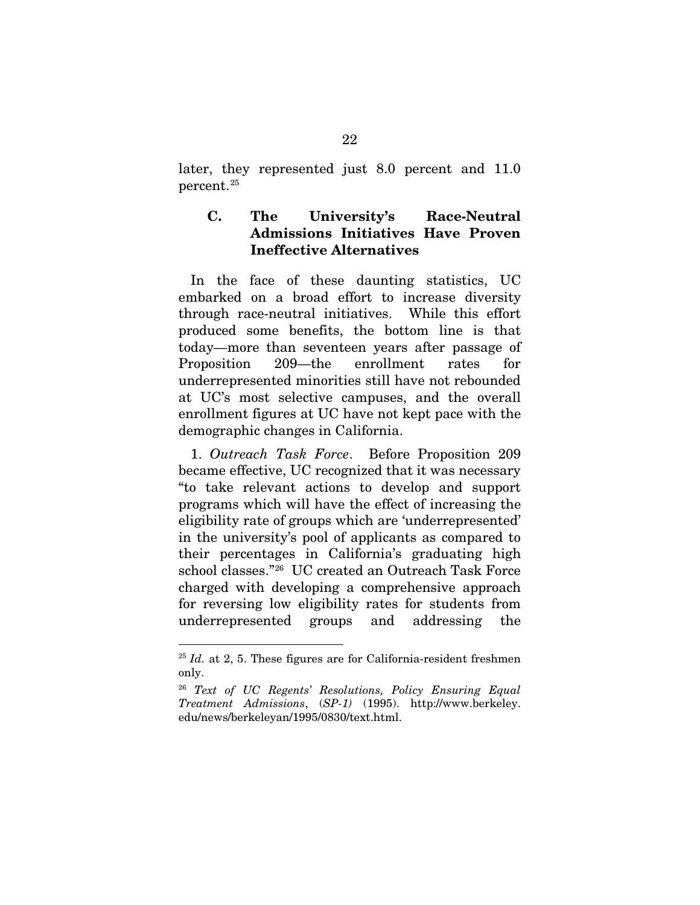later, they represented just 8.0 percent and 11.0 percent.25

## C. The University's Race-Neutral Admissions Initiatives Have Proven Ineffective Alternatives

In the face of these daunting statistics, UC embarked on a broad effort to increase diversity through race-neutral initiatives. While this effort produced some benefits, the bottom line is that today—more than seventeen years after passage of Proposition 209—the enrollment rates for underrepresented minorities still have not rebounded at UC's most selective campuses, and the overall enrollment figures at UC have not kept pace with the demographic changes in California.

1. *Outreach Task Force*. Before Proposition 209 became effective, UC recognized that it was necessary "to take relevant actions to develop and support programs which will have the effect of increasing the eligibility rate of groups which are 'underrepresented' in the university's pool of applicants as compared to their percentages in California's graduating high school classes."26 UC created an Outreach Task Force charged with developing a comprehensive approach for reversing low eligibility rates for students from underrepresented groups and addressing the

 $25$  *Id.* at 2, 5. These figures are for California-resident freshmen only.

<sup>26</sup> *Text of UC Regents' Resolutions, Policy Ensuring Equal Treatment Admissions*, (*SP-1)* (1995). http://www.berkeley. edu/news/berkeleyan/1995/0830/text.html.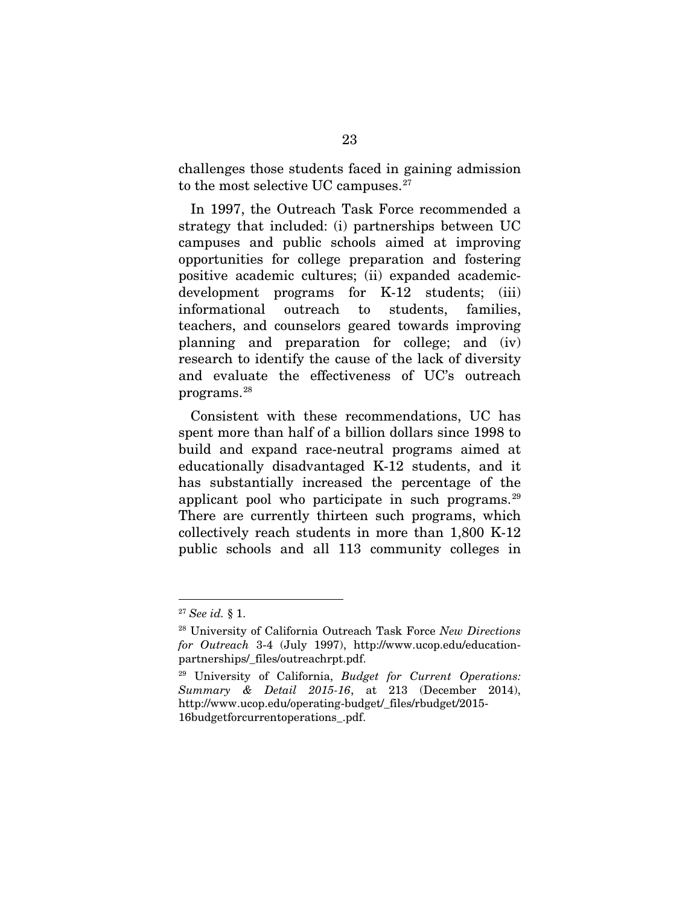challenges those students faced in gaining admission to the most selective UC campuses.<sup>27</sup>

In 1997, the Outreach Task Force recommended a strategy that included: (i) partnerships between UC campuses and public schools aimed at improving opportunities for college preparation and fostering positive academic cultures; (ii) expanded academicdevelopment programs for K-12 students; (iii) informational outreach to students, families, teachers, and counselors geared towards improving planning and preparation for college; and (iv) research to identify the cause of the lack of diversity and evaluate the effectiveness of UC's outreach programs.28

Consistent with these recommendations, UC has spent more than half of a billion dollars since 1998 to build and expand race-neutral programs aimed at educationally disadvantaged K-12 students, and it has substantially increased the percentage of the applicant pool who participate in such programs. $29$ There are currently thirteen such programs, which collectively reach students in more than 1,800 K-12 public schools and all 113 community colleges in

 <sup>27</sup> *See id.* § 1.

<sup>28</sup> University of California Outreach Task Force *New Directions for Outreach* 3-4 (July 1997), http://www.ucop.edu/educationpartnerships/\_files/outreachrpt.pdf.

<sup>29</sup> University of California, *Budget for Current Operations: Summary & Detail 2015-16*, at 213 (December 2014), http://www.ucop.edu/operating-budget/\_files/rbudget/2015- 16budgetforcurrentoperations\_.pdf.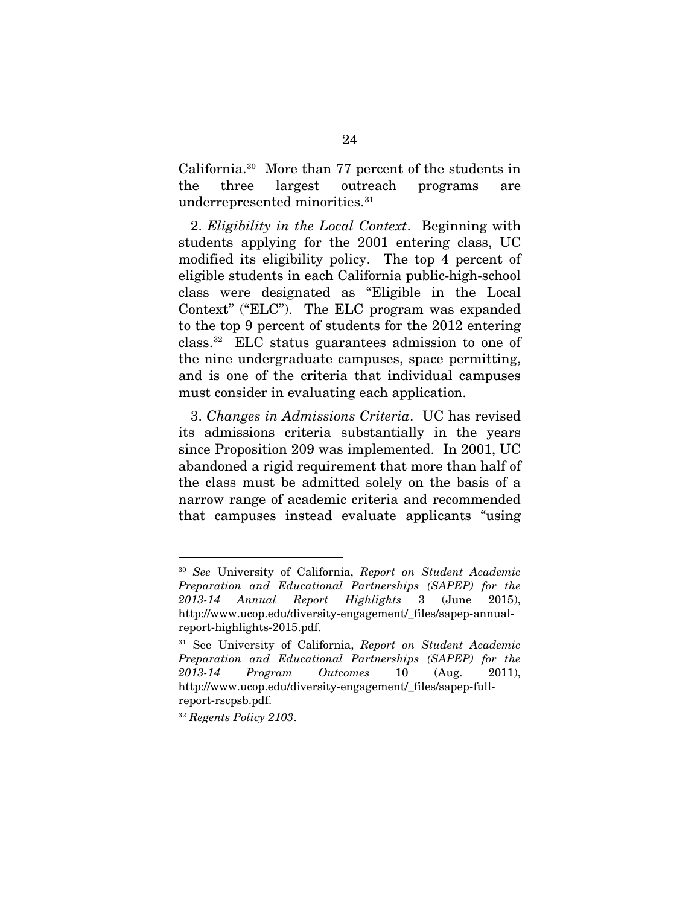California.30 More than 77 percent of the students in the three largest outreach programs are underrepresented minorities.<sup>31</sup>

2. *Eligibility in the Local Context*. Beginning with students applying for the 2001 entering class, UC modified its eligibility policy. The top 4 percent of eligible students in each California public-high-school class were designated as "Eligible in the Local Context" ("ELC"). The ELC program was expanded to the top 9 percent of students for the 2012 entering class.32 ELC status guarantees admission to one of the nine undergraduate campuses, space permitting, and is one of the criteria that individual campuses must consider in evaluating each application.

3. *Changes in Admissions Criteria*. UC has revised its admissions criteria substantially in the years since Proposition 209 was implemented. In 2001, UC abandoned a rigid requirement that more than half of the class must be admitted solely on the basis of a narrow range of academic criteria and recommended that campuses instead evaluate applicants "using

 <sup>30</sup> *See* University of California, *Report on Student Academic Preparation and Educational Partnerships (SAPEP) for the 2013-14 Annual Report Highlights* 3 (June 2015), http://www.ucop.edu/diversity-engagement/\_files/sapep-annualreport-highlights-2015.pdf.

<sup>31</sup> See University of California, *Report on Student Academic Preparation and Educational Partnerships (SAPEP) for the 2013-14 Program Outcomes* 10 (Aug. 2011), http://www.ucop.edu/diversity-engagement/\_files/sapep-fullreport-rscpsb.pdf.

<sup>32</sup> *Regents Policy 2103*.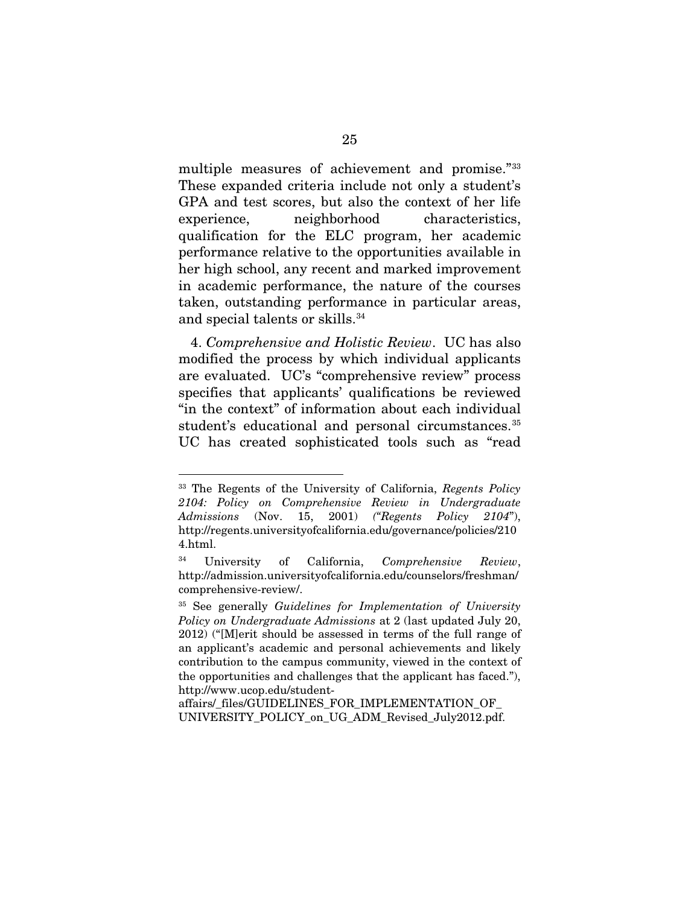multiple measures of achievement and promise."33 These expanded criteria include not only a student's GPA and test scores, but also the context of her life experience, neighborhood characteristics, qualification for the ELC program, her academic performance relative to the opportunities available in her high school, any recent and marked improvement in academic performance, the nature of the courses taken, outstanding performance in particular areas, and special talents or skills.34

4. *Comprehensive and Holistic Review*. UC has also modified the process by which individual applicants are evaluated. UC's "comprehensive review" process specifies that applicants' qualifications be reviewed "in the context" of information about each individual student's educational and personal circumstances.<sup>35</sup> UC has created sophisticated tools such as "read

affairs/\_files/GUIDELINES\_FOR\_IMPLEMENTATION\_OF\_ UNIVERSITY\_POLICY\_on\_UG\_ADM\_Revised\_July2012.pdf.

 <sup>33</sup> The Regents of the University of California, *Regents Policy 2104: Policy on Comprehensive Review in Undergraduate Admissions* (Nov. 15, 2001) *("Regents Policy 2104*"), http://regents.universityofcalifornia.edu/governance/policies/210 4.html.

<sup>34</sup> University of California, *Comprehensive Review*, http://admission.universityofcalifornia.edu/counselors/freshman/ comprehensive-review/.

<sup>35</sup> See generally *Guidelines for Implementation of University Policy on Undergraduate Admissions* at 2 (last updated July 20, 2012) ("[M]erit should be assessed in terms of the full range of an applicant's academic and personal achievements and likely contribution to the campus community, viewed in the context of the opportunities and challenges that the applicant has faced."), http://www.ucop.edu/student-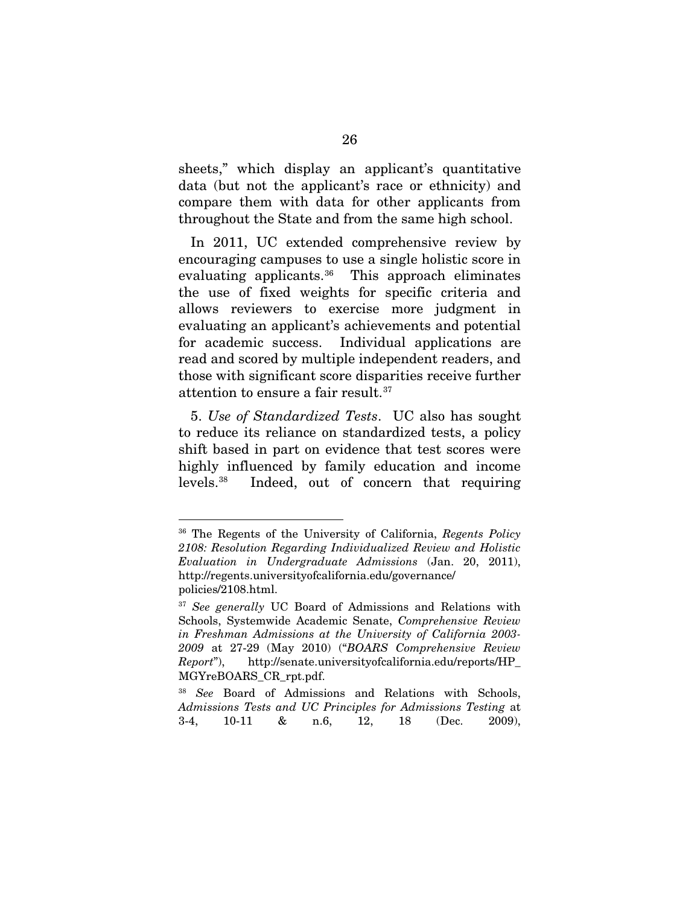sheets," which display an applicant's quantitative data (but not the applicant's race or ethnicity) and compare them with data for other applicants from throughout the State and from the same high school.

In 2011, UC extended comprehensive review by encouraging campuses to use a single holistic score in evaluating applicants.<sup>36</sup> This approach eliminates the use of fixed weights for specific criteria and allows reviewers to exercise more judgment in evaluating an applicant's achievements and potential for academic success. Individual applications are read and scored by multiple independent readers, and those with significant score disparities receive further attention to ensure a fair result.37

5. *Use of Standardized Tests*. UC also has sought to reduce its reliance on standardized tests, a policy shift based in part on evidence that test scores were highly influenced by family education and income levels.38 Indeed, out of concern that requiring

 <sup>36</sup> The Regents of the University of California, *Regents Policy 2108: Resolution Regarding Individualized Review and Holistic Evaluation in Undergraduate Admissions* (Jan. 20, 2011), http://regents.universityofcalifornia.edu/governance/ policies/2108.html.

<sup>37</sup> *See generally* UC Board of Admissions and Relations with Schools, Systemwide Academic Senate, *Comprehensive Review in Freshman Admissions at the University of California 2003- 2009* at 27-29 (May 2010) ("*BOARS Comprehensive Review Report*"), http://senate.universityofcalifornia.edu/reports/HP\_ MGYreBOARS\_CR\_rpt.pdf.

<sup>38</sup> *See* Board of Admissions and Relations with Schools, *Admissions Tests and UC Principles for Admissions Testing* at 3-4, 10-11 & n.6, 12, 18 (Dec. 2009),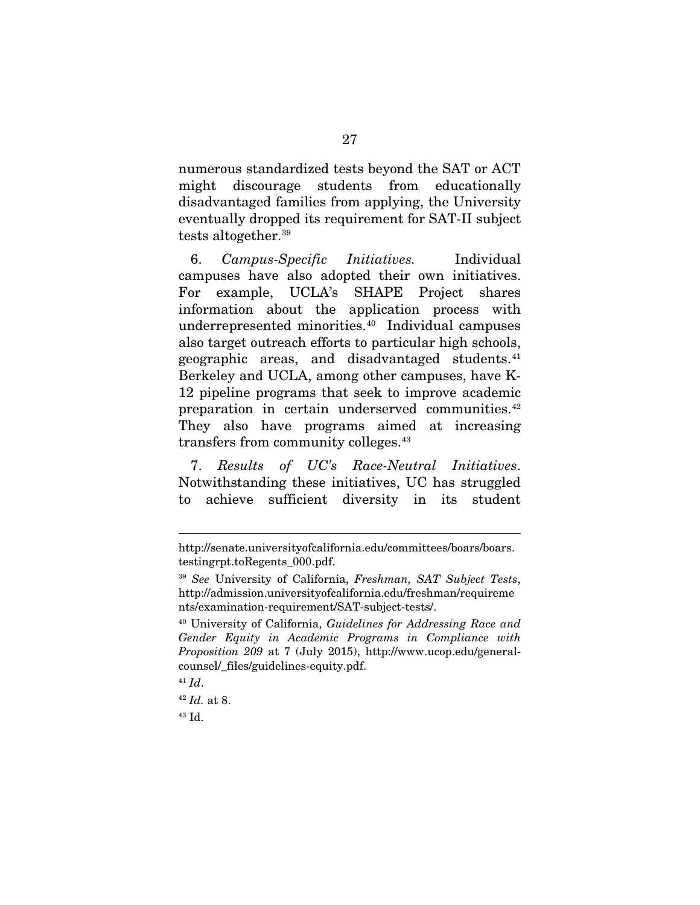numerous standardized tests beyond the SAT or ACT might discourage students from educationally disadvantaged families from applying, the University eventually dropped its requirement for SAT-II subject tests altogether.39

6. *Campus-Specific Initiatives.* Individual campuses have also adopted their own initiatives. For example, UCLA's SHAPE Project shares information about the application process with underrepresented minorities.40 Individual campuses also target outreach efforts to particular high schools, geographic areas, and disadvantaged students.41 Berkeley and UCLA, among other campuses, have K-12 pipeline programs that seek to improve academic preparation in certain underserved communities.<sup>42</sup> They also have programs aimed at increasing transfers from community colleges.43

7. *Results of UC's Race-Neutral Initiatives*. Notwithstanding these initiatives, UC has struggled to achieve sufficient diversity in its student

 $\overline{a}$ 

http://senate.universityofcalifornia.edu/committees/boars/boars. testingrpt.toRegents\_000.pdf.

<sup>39</sup> *See* University of California, *Freshman, SAT Subject Tests*, http://admission.universityofcalifornia.edu/freshman/requireme nts/examination-requirement/SAT-subject-tests/.

<sup>40</sup> University of California, *Guidelines for Addressing Race and Gender Equity in Academic Programs in Compliance with Proposition 209* at 7 (July 2015), http://www.ucop.edu/generalcounsel/\_files/guidelines-equity.pdf.

 $41$  *Id.* 

<sup>42</sup> *Id.* at 8.

<sup>43</sup> Id.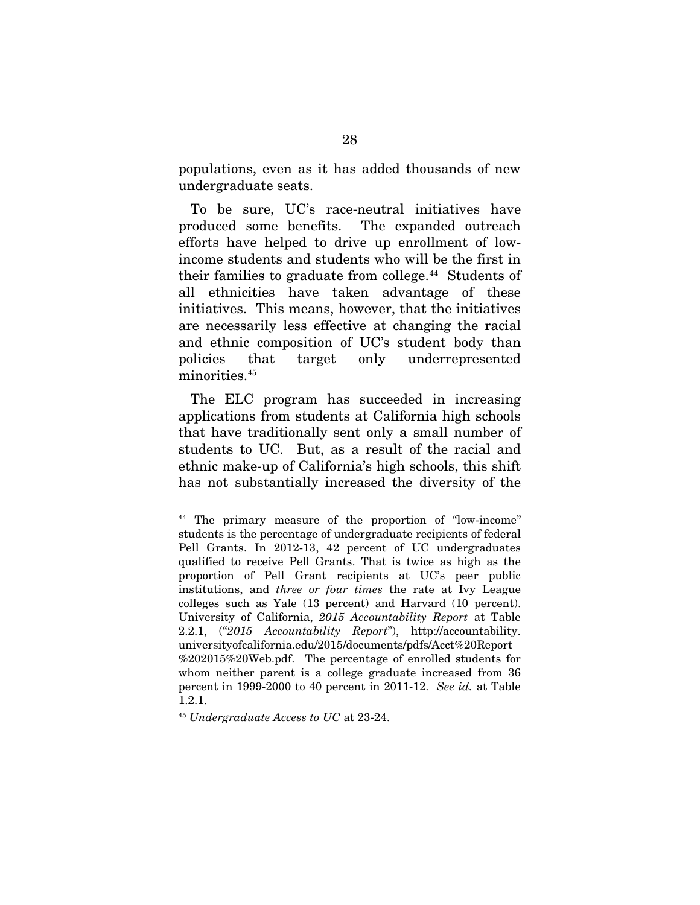populations, even as it has added thousands of new undergraduate seats.

To be sure, UC's race-neutral initiatives have produced some benefits. The expanded outreach efforts have helped to drive up enrollment of lowincome students and students who will be the first in their families to graduate from college.<sup>44</sup> Students of all ethnicities have taken advantage of these initiatives. This means, however, that the initiatives are necessarily less effective at changing the racial and ethnic composition of UC's student body than policies that target only underrepresented minorities.<sup>45</sup>

The ELC program has succeeded in increasing applications from students at California high schools that have traditionally sent only a small number of students to UC. But, as a result of the racial and ethnic make-up of California's high schools, this shift has not substantially increased the diversity of the

 <sup>44</sup> The primary measure of the proportion of "low-income" students is the percentage of undergraduate recipients of federal Pell Grants. In 2012-13, 42 percent of UC undergraduates qualified to receive Pell Grants. That is twice as high as the proportion of Pell Grant recipients at UC's peer public institutions, and *three or four times* the rate at Ivy League colleges such as Yale (13 percent) and Harvard (10 percent). University of California, *2015 Accountability Report* at Table 2.2.1, ("*2015 Accountability Report*"), http://accountability. universityofcalifornia.edu/2015/documents/pdfs/Acct%20Report %202015%20Web.pdf. The percentage of enrolled students for whom neither parent is a college graduate increased from 36 percent in 1999-2000 to 40 percent in 2011-12. *See id.* at Table 1.2.1.

<sup>45</sup> *Undergraduate Access to UC* at 23-24.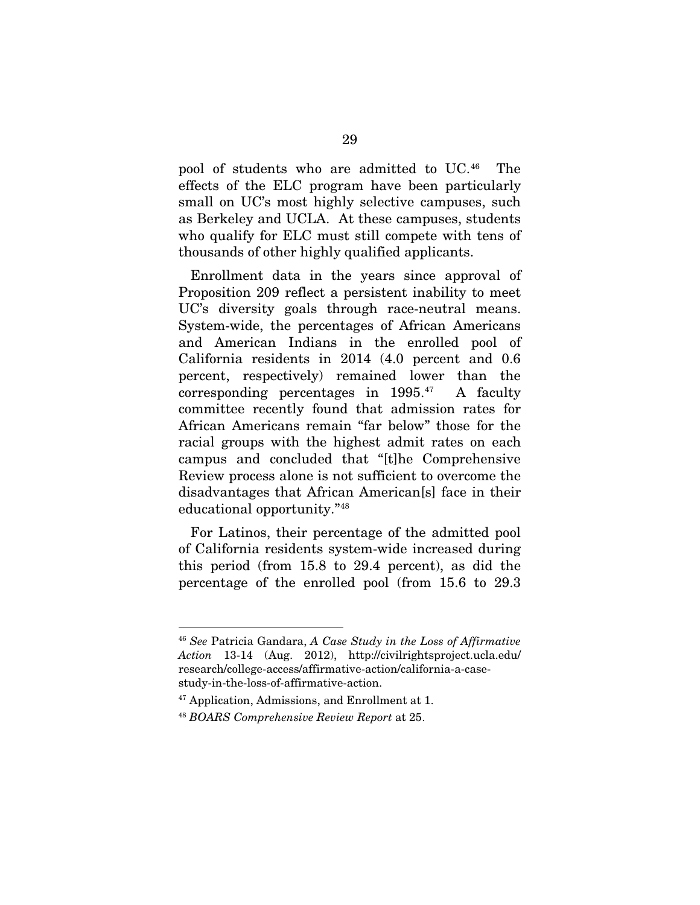pool of students who are admitted to UC.46 The effects of the ELC program have been particularly small on UC's most highly selective campuses, such as Berkeley and UCLA. At these campuses, students who qualify for ELC must still compete with tens of thousands of other highly qualified applicants.

Enrollment data in the years since approval of Proposition 209 reflect a persistent inability to meet UC's diversity goals through race-neutral means. System-wide, the percentages of African Americans and American Indians in the enrolled pool of California residents in 2014 (4.0 percent and 0.6 percent, respectively) remained lower than the corresponding percentages in  $1995.^{47}$  A faculty committee recently found that admission rates for African Americans remain "far below" those for the racial groups with the highest admit rates on each campus and concluded that "[t]he Comprehensive Review process alone is not sufficient to overcome the disadvantages that African American[s] face in their educational opportunity."48

For Latinos, their percentage of the admitted pool of California residents system-wide increased during this period (from 15.8 to 29.4 percent), as did the percentage of the enrolled pool (from 15.6 to 29.3

 <sup>46</sup> *See* Patricia Gandara, *A Case Study in the Loss of Affirmative Action* 13-14 (Aug. 2012), http://civilrightsproject.ucla.edu/ research/college-access/affirmative-action/california-a-casestudy-in-the-loss-of-affirmative-action.

<sup>47</sup> Application, Admissions, and Enrollment at 1.

<sup>48</sup> *BOARS Comprehensive Review Report* at 25.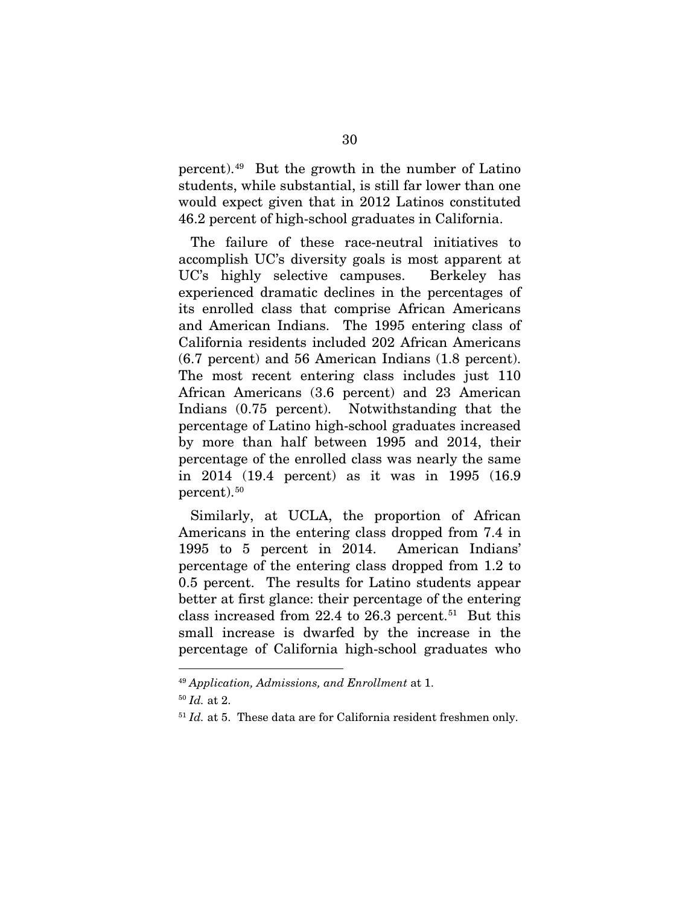percent).49 But the growth in the number of Latino students, while substantial, is still far lower than one would expect given that in 2012 Latinos constituted 46.2 percent of high-school graduates in California.

The failure of these race-neutral initiatives to accomplish UC's diversity goals is most apparent at UC's highly selective campuses. Berkeley has experienced dramatic declines in the percentages of its enrolled class that comprise African Americans and American Indians. The 1995 entering class of California residents included 202 African Americans (6.7 percent) and 56 American Indians (1.8 percent). The most recent entering class includes just 110 African Americans (3.6 percent) and 23 American Indians (0.75 percent). Notwithstanding that the percentage of Latino high-school graduates increased by more than half between 1995 and 2014, their percentage of the enrolled class was nearly the same in 2014 (19.4 percent) as it was in 1995 (16.9 percent).50

Similarly, at UCLA, the proportion of African Americans in the entering class dropped from 7.4 in 1995 to 5 percent in 2014. American Indians' percentage of the entering class dropped from 1.2 to 0.5 percent. The results for Latino students appear better at first glance: their percentage of the entering class increased from 22.4 to 26.3 percent.<sup>51</sup> But this small increase is dwarfed by the increase in the percentage of California high-school graduates who

 <sup>49</sup> *Application, Admissions, and Enrollment* at 1.

<sup>50</sup> *Id.* at 2.

 $51$  *Id.* at 5. These data are for California resident freshmen only.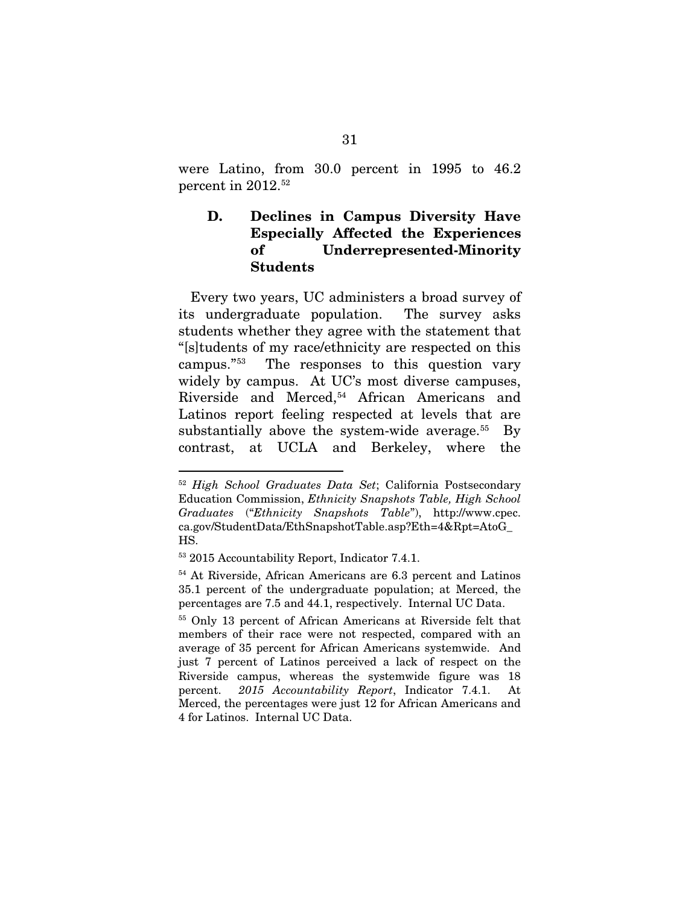were Latino, from 30.0 percent in 1995 to 46.2 percent in 2012. 52

### D. Declines in Campus Diversity Have Especially Affected the Experiences of Underrepresented-Minority Students

Every two years, UC administers a broad survey of its undergraduate population. The survey asks students whether they agree with the statement that "[s]tudents of my race/ethnicity are respected on this campus."53 The responses to this question vary widely by campus. At UC's most diverse campuses, Riverside and Merced,<sup>54</sup> African Americans and Latinos report feeling respected at levels that are substantially above the system-wide average. $55$  By contrast, at UCLA and Berkeley, where the

 <sup>52</sup> *High School Graduates Data Set*; California Postsecondary Education Commission, *Ethnicity Snapshots Table, High School Graduates* ("*Ethnicity Snapshots Table*"), http://www.cpec. ca.gov/StudentData/EthSnapshotTable.asp?Eth=4&Rpt=AtoG\_ HS.

<sup>53</sup> 2015 Accountability Report, Indicator 7.4.1.

<sup>54</sup> At Riverside, African Americans are 6.3 percent and Latinos 35.1 percent of the undergraduate population; at Merced, the percentages are 7.5 and 44.1, respectively. Internal UC Data.

<sup>55</sup> Only 13 percent of African Americans at Riverside felt that members of their race were not respected, compared with an average of 35 percent for African Americans systemwide. And just 7 percent of Latinos perceived a lack of respect on the Riverside campus, whereas the systemwide figure was 18 percent. *2015 Accountability Report*, Indicator 7.4.1. At Merced, the percentages were just 12 for African Americans and 4 for Latinos. Internal UC Data.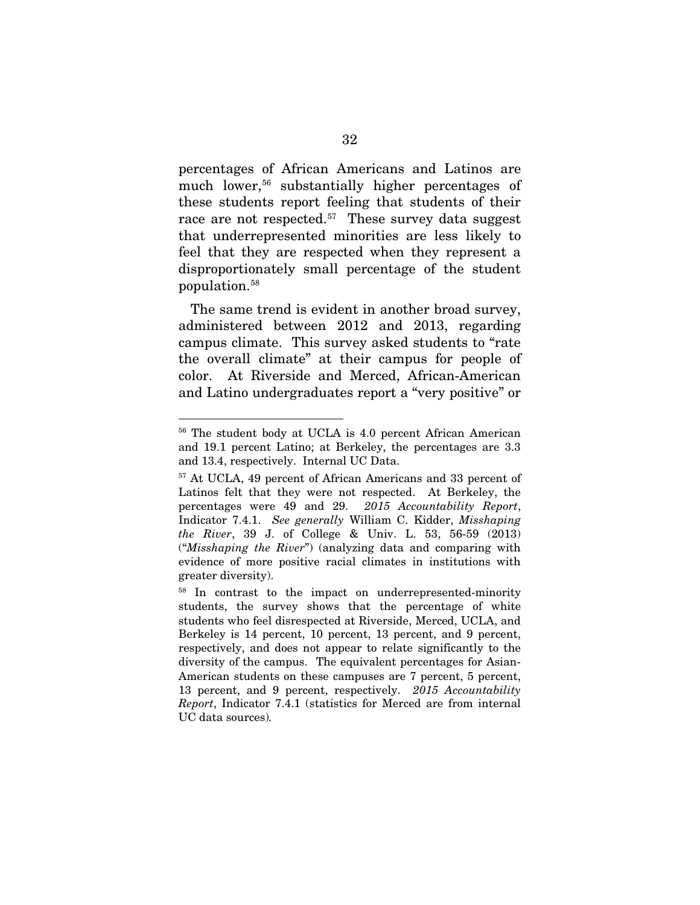percentages of African Americans and Latinos are much lower,<sup>56</sup> substantially higher percentages of these students report feeling that students of their race are not respected.<sup>57</sup> These survey data suggest that underrepresented minorities are less likely to feel that they are respected when they represent a disproportionately small percentage of the student population.58

The same trend is evident in another broad survey, administered between 2012 and 2013, regarding campus climate. This survey asked students to "rate the overall climate" at their campus for people of color. At Riverside and Merced, African-American and Latino undergraduates report a "very positive" or

 <sup>56</sup> The student body at UCLA is 4.0 percent African American and 19.1 percent Latino; at Berkeley, the percentages are 3.3 and 13.4, respectively. Internal UC Data.

<sup>57</sup> At UCLA, 49 percent of African Americans and 33 percent of Latinos felt that they were not respected. At Berkeley, the percentages were 49 and 29. *2015 Accountability Report*, Indicator 7.4.1. *See generally* William C. Kidder, *Misshaping the River*, 39 J. of College & Univ. L. 53, 56-59 (2013) ("*Misshaping the River*") (analyzing data and comparing with evidence of more positive racial climates in institutions with greater diversity).

<sup>58</sup> In contrast to the impact on underrepresented-minority students, the survey shows that the percentage of white students who feel disrespected at Riverside, Merced, UCLA, and Berkeley is 14 percent, 10 percent, 13 percent, and 9 percent, respectively, and does not appear to relate significantly to the diversity of the campus. The equivalent percentages for Asian-American students on these campuses are 7 percent, 5 percent, 13 percent, and 9 percent, respectively. *2015 Accountability Report*, Indicator 7.4.1 (statistics for Merced are from internal UC data sources)*.*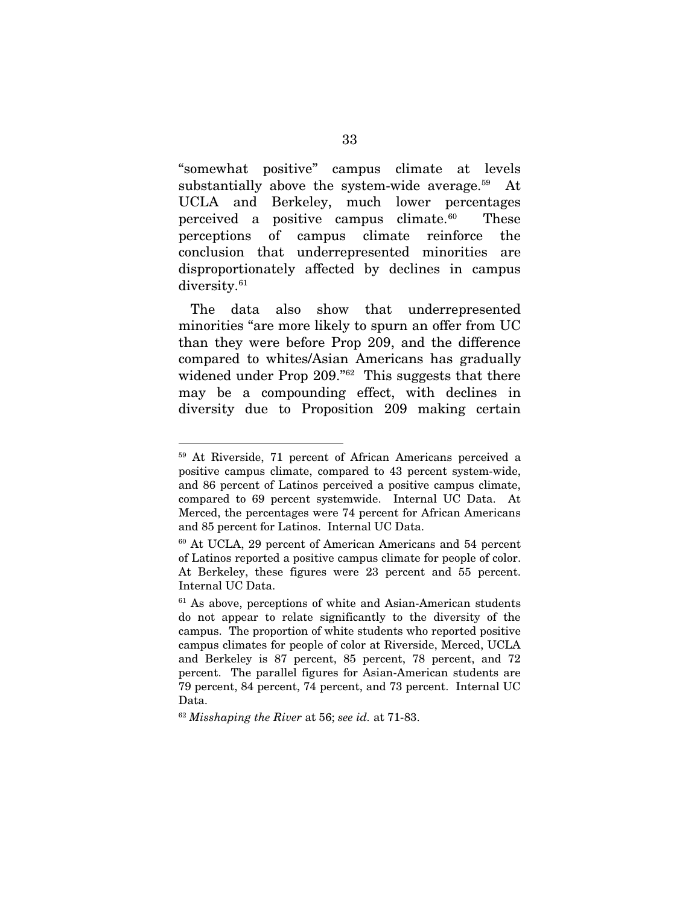"somewhat positive" campus climate at levels substantially above the system-wide average. $59$  At UCLA and Berkeley, much lower percentages perceived a positive campus climate. $60$  These perceptions of campus climate reinforce the conclusion that underrepresented minorities are disproportionately affected by declines in campus diversity.<sup>61</sup>

The data also show that underrepresented minorities "are more likely to spurn an offer from UC than they were before Prop 209, and the difference compared to whites/Asian Americans has gradually widened under Prop 209."<sup>62</sup> This suggests that there may be a compounding effect, with declines in diversity due to Proposition 209 making certain

 <sup>59</sup> At Riverside, 71 percent of African Americans perceived a positive campus climate, compared to 43 percent system-wide, and 86 percent of Latinos perceived a positive campus climate, compared to 69 percent systemwide. Internal UC Data. At Merced, the percentages were 74 percent for African Americans and 85 percent for Latinos. Internal UC Data.

<sup>60</sup> At UCLA, 29 percent of American Americans and 54 percent of Latinos reported a positive campus climate for people of color. At Berkeley, these figures were 23 percent and 55 percent. Internal UC Data.

 $61$  As above, perceptions of white and Asian-American students do not appear to relate significantly to the diversity of the campus. The proportion of white students who reported positive campus climates for people of color at Riverside, Merced, UCLA and Berkeley is 87 percent, 85 percent, 78 percent, and 72 percent. The parallel figures for Asian-American students are 79 percent, 84 percent, 74 percent, and 73 percent. Internal UC Data.

<sup>62</sup> *Misshaping the River* at 56; *see id.* at 71-83.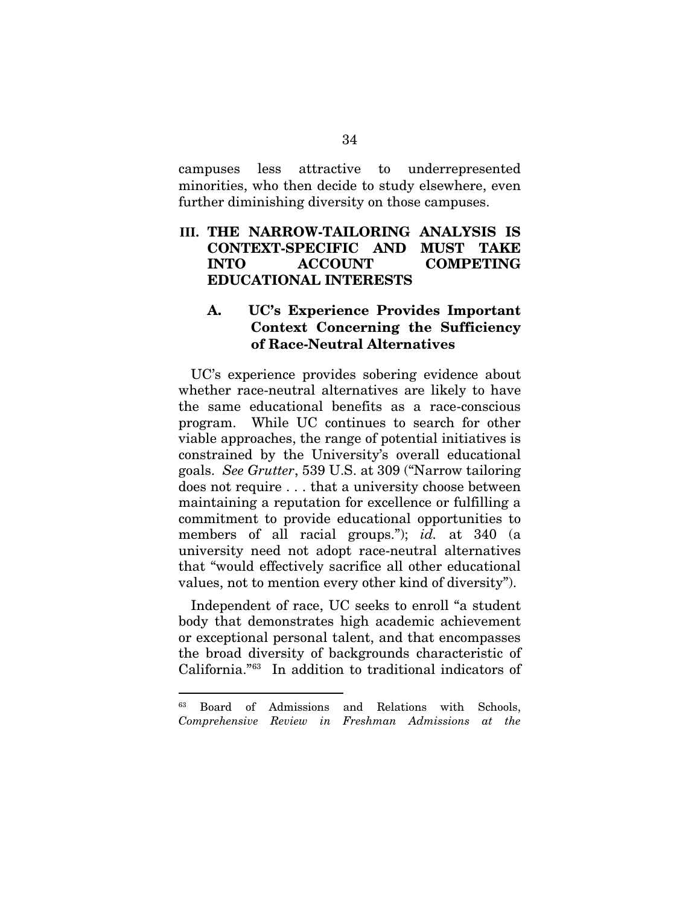campuses less attractive to underrepresented minorities, who then decide to study elsewhere, even further diminishing diversity on those campuses.

### **III.** THE NARROW-TAILORING ANALYSIS IS CONTEXT-SPECIFIC AND MUST TAKE INTO ACCOUNT COMPETING EDUCATIONAL INTERESTS

### A. UC's Experience Provides Important Context Concerning the Sufficiency of Race-Neutral Alternatives

UC's experience provides sobering evidence about whether race-neutral alternatives are likely to have the same educational benefits as a race-conscious program. While UC continues to search for other viable approaches, the range of potential initiatives is constrained by the University's overall educational goals. *See Grutter*, 539 U.S. at 309 ("Narrow tailoring does not require . . . that a university choose between maintaining a reputation for excellence or fulfilling a commitment to provide educational opportunities to members of all racial groups."); *id.* at 340 (a university need not adopt race-neutral alternatives that "would effectively sacrifice all other educational values, not to mention every other kind of diversity").

Independent of race, UC seeks to enroll "a student body that demonstrates high academic achievement or exceptional personal talent, and that encompasses the broad diversity of backgrounds characteristic of California."63 In addition to traditional indicators of

 <sup>63</sup> Board of Admissions and Relations with Schools, *Comprehensive Review in Freshman Admissions at the*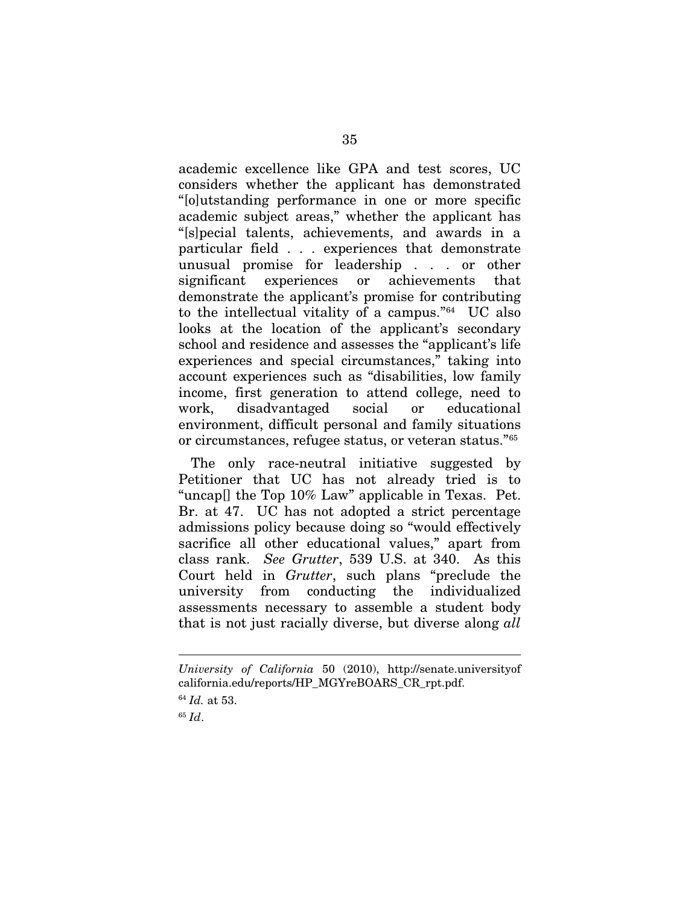academic excellence like GPA and test scores, UC considers whether the applicant has demonstrated "[o]utstanding performance in one or more specific academic subject areas," whether the applicant has "[s]pecial talents, achievements, and awards in a particular field . . . experiences that demonstrate unusual promise for leadership . . . or other significant experiences or achievements that demonstrate the applicant's promise for contributing to the intellectual vitality of a campus."64 UC also looks at the location of the applicant's secondary school and residence and assesses the "applicant's life experiences and special circumstances," taking into account experiences such as "disabilities, low family income, first generation to attend college, need to work, disadvantaged social or educational environment, difficult personal and family situations or circumstances, refugee status, or veteran status."65

The only race-neutral initiative suggested by Petitioner that UC has not already tried is to "uncap[] the Top 10% Law" applicable in Texas. Pet. Br. at 47. UC has not adopted a strict percentage admissions policy because doing so "would effectively sacrifice all other educational values," apart from class rank. *See Grutter*, 539 U.S. at 340. As this Court held in *Grutter*, such plans "preclude the university from conducting the individualized assessments necessary to assemble a student body that is not just racially diverse, but diverse along *all* 

<sup>65</sup> *Id*.

 $\overline{a}$ 

*University of California* 50 (2010), http://senate.universityof california.edu/reports/HP\_MGYreBOARS\_CR\_rpt.pdf.

<sup>64</sup> *Id.* at 53.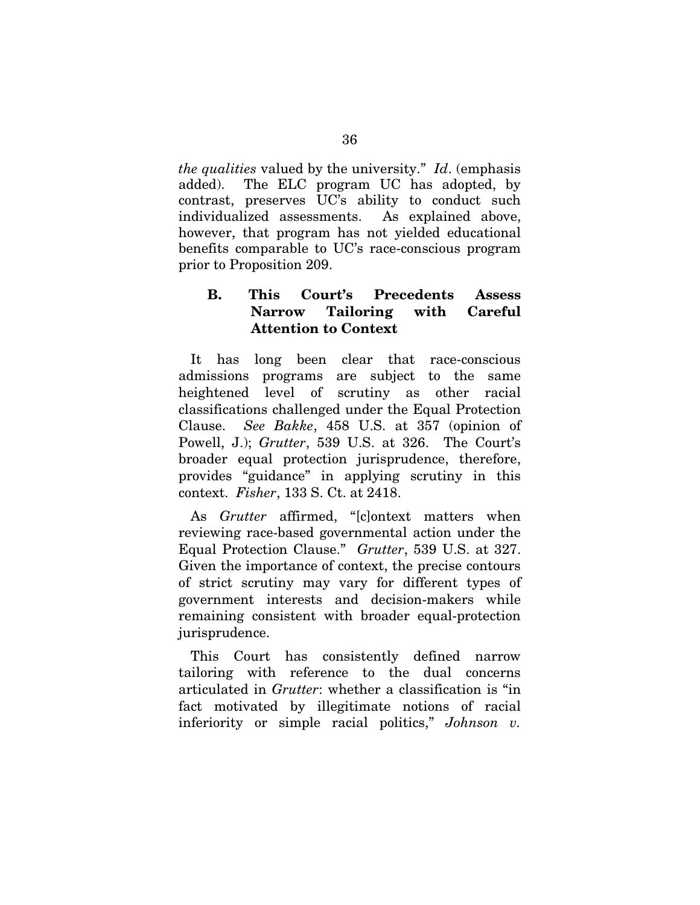*the qualities* valued by the university." *Id*. (emphasis added). The ELC program UC has adopted, by contrast, preserves UC's ability to conduct such individualized assessments. As explained above, however, that program has not yielded educational benefits comparable to UC's race-conscious program prior to Proposition 209.

### B. This Court's Precedents Assess Narrow Tailoring with Careful Attention to Context

It has long been clear that race-conscious admissions programs are subject to the same heightened level of scrutiny as other racial classifications challenged under the Equal Protection Clause. *See Bakke*, 458 U.S. at 357 (opinion of Powell, J.); *Grutter*, 539 U.S. at 326. The Court's broader equal protection jurisprudence, therefore, provides "guidance" in applying scrutiny in this context. *Fisher*, 133 S. Ct. at 2418.

As *Grutter* affirmed, "[c]ontext matters when reviewing race-based governmental action under the Equal Protection Clause." *Grutter*, 539 U.S. at 327. Given the importance of context, the precise contours of strict scrutiny may vary for different types of government interests and decision-makers while remaining consistent with broader equal-protection jurisprudence.

This Court has consistently defined narrow tailoring with reference to the dual concerns articulated in *Grutter*: whether a classification is "in fact motivated by illegitimate notions of racial inferiority or simple racial politics," *Johnson v.*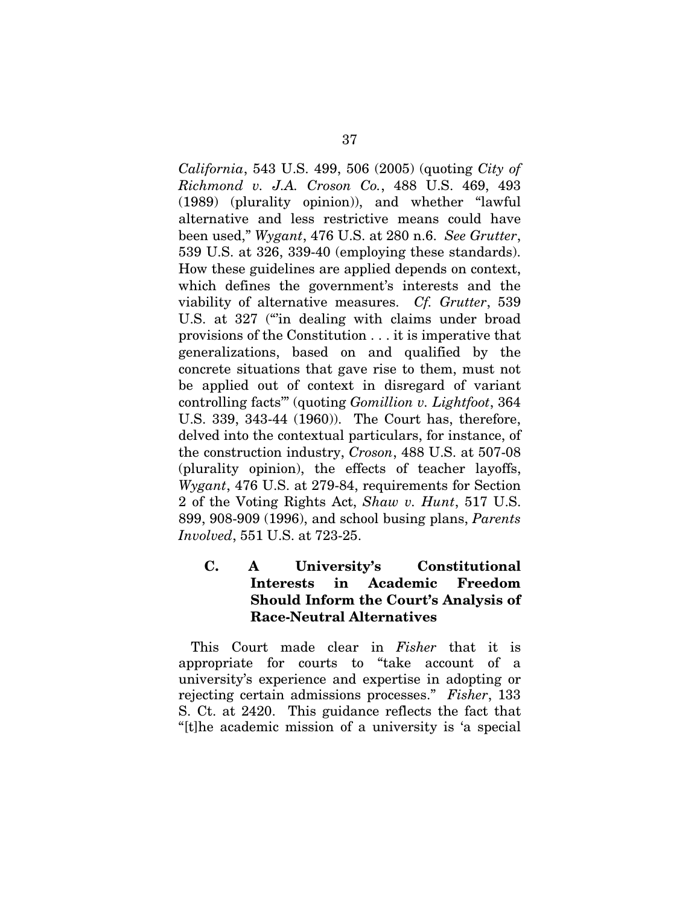*California*, 543 U.S. 499, 506 (2005) (quoting *City of Richmond v. J.A. Croson Co.*, 488 U.S. 469, 493 (1989) (plurality opinion)), and whether "lawful alternative and less restrictive means could have been used," *Wygant*, 476 U.S. at 280 n.6. *See Grutter*, 539 U.S. at 326, 339-40 (employing these standards). How these guidelines are applied depends on context, which defines the government's interests and the viability of alternative measures. *Cf. Grutter*, 539 U.S. at 327 ("in dealing with claims under broad provisions of the Constitution . . . it is imperative that generalizations, based on and qualified by the concrete situations that gave rise to them, must not be applied out of context in disregard of variant controlling facts'" (quoting *Gomillion v. Lightfoot*, 364 U.S. 339, 343-44 (1960)). The Court has, therefore, delved into the contextual particulars, for instance, of the construction industry, *Croson*, 488 U.S. at 507-08 (plurality opinion), the effects of teacher layoffs, *Wygant*, 476 U.S. at 279-84, requirements for Section 2 of the Voting Rights Act, *Shaw v. Hunt*, 517 U.S. 899, 908-909 (1996), and school busing plans, *Parents Involved*, 551 U.S. at 723-25.

## C. A University's Constitutional Interests in Academic Freedom Should Inform the Court's Analysis of Race-Neutral Alternatives

This Court made clear in *Fisher* that it is appropriate for courts to "take account of a university's experience and expertise in adopting or rejecting certain admissions processes." *Fisher*, 133 S. Ct. at 2420. This guidance reflects the fact that "[t]he academic mission of a university is 'a special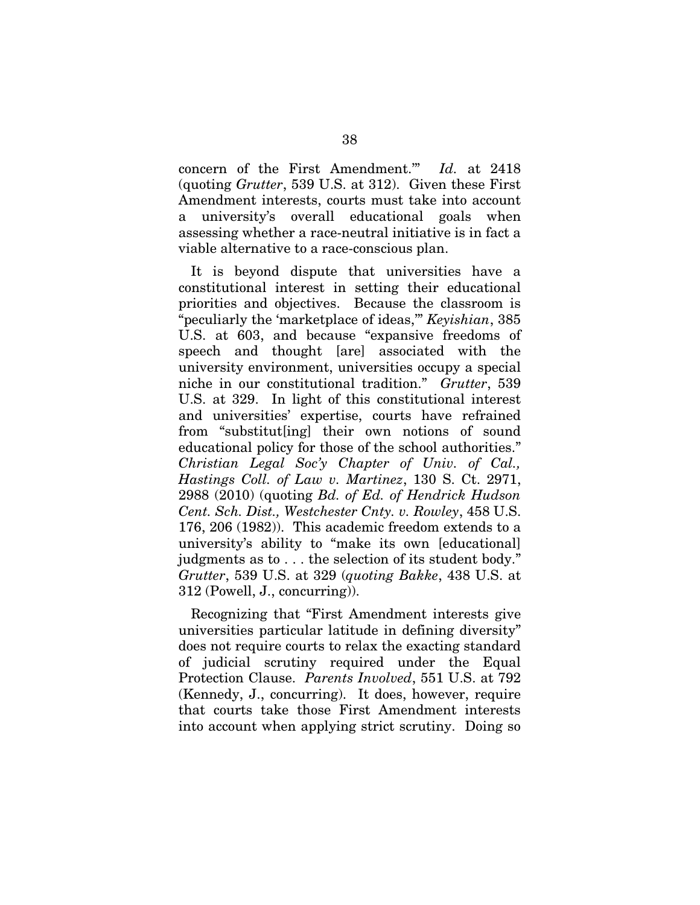concern of the First Amendment.'" *Id.* at 2418 (quoting *Grutter*, 539 U.S. at 312). Given these First Amendment interests, courts must take into account a university's overall educational goals when assessing whether a race-neutral initiative is in fact a viable alternative to a race-conscious plan.

It is beyond dispute that universities have a constitutional interest in setting their educational priorities and objectives. Because the classroom is "peculiarly the 'marketplace of ideas,'" *Keyishian*, 385 U.S. at 603, and because "expansive freedoms of speech and thought [are] associated with the university environment, universities occupy a special niche in our constitutional tradition." *Grutter*, 539 U.S. at 329. In light of this constitutional interest and universities' expertise, courts have refrained from "substitut[ing] their own notions of sound educational policy for those of the school authorities." *Christian Legal Soc'y Chapter of Univ. of Cal., Hastings Coll. of Law v. Martinez*, 130 S. Ct. 2971, 2988 (2010) (quoting *Bd. of Ed. of Hendrick Hudson Cent. Sch. Dist., Westchester Cnty. v. Rowley*, 458 U.S. 176, 206 (1982)). This academic freedom extends to a university's ability to "make its own [educational] judgments as to . . . the selection of its student body." *Grutter*, 539 U.S. at 329 (*quoting Bakke*, 438 U.S. at 312 (Powell, J., concurring)).

Recognizing that "First Amendment interests give universities particular latitude in defining diversity" does not require courts to relax the exacting standard of judicial scrutiny required under the Equal Protection Clause. *Parents Involved*, 551 U.S. at 792 (Kennedy, J., concurring). It does, however, require that courts take those First Amendment interests into account when applying strict scrutiny. Doing so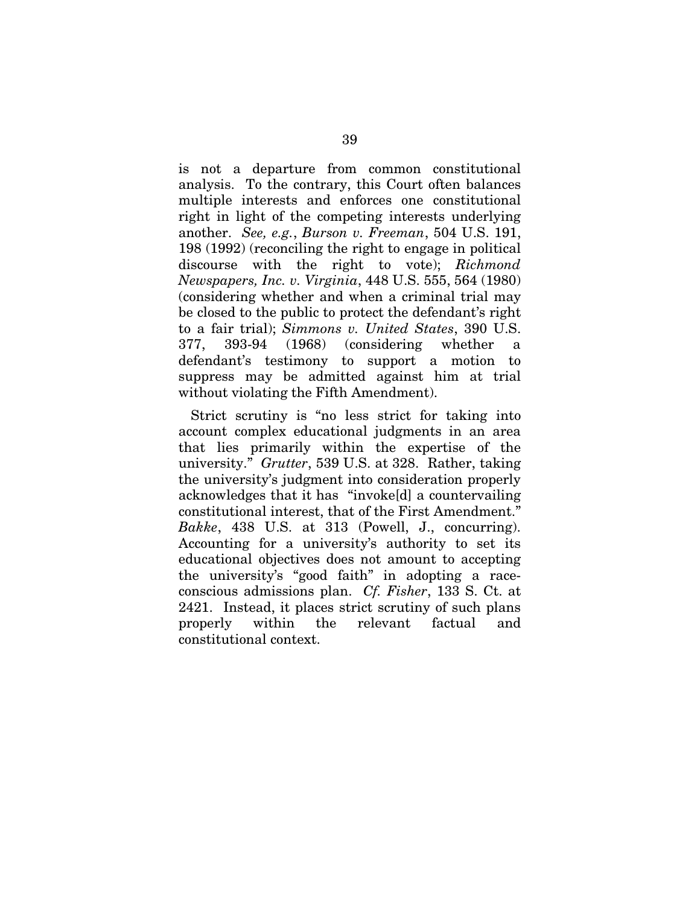is not a departure from common constitutional analysis. To the contrary, this Court often balances multiple interests and enforces one constitutional right in light of the competing interests underlying another. *See, e.g.*, *Burson v. Freeman*, 504 U.S. 191, 198 (1992) (reconciling the right to engage in political discourse with the right to vote); *Richmond Newspapers, Inc. v. Virginia*, 448 U.S. 555, 564 (1980) (considering whether and when a criminal trial may be closed to the public to protect the defendant's right to a fair trial); *Simmons v. United States*, 390 U.S. 377, 393-94 (1968) (considering whether a defendant's testimony to support a motion to suppress may be admitted against him at trial without violating the Fifth Amendment).

Strict scrutiny is "no less strict for taking into account complex educational judgments in an area that lies primarily within the expertise of the university." *Grutter*, 539 U.S. at 328. Rather, taking the university's judgment into consideration properly acknowledges that it has "invoke[d] a countervailing constitutional interest, that of the First Amendment." *Bakke*, 438 U.S. at 313 (Powell, J., concurring). Accounting for a university's authority to set its educational objectives does not amount to accepting the university's "good faith" in adopting a raceconscious admissions plan. *Cf. Fisher*, 133 S. Ct. at 2421. Instead, it places strict scrutiny of such plans properly within the relevant factual and constitutional context.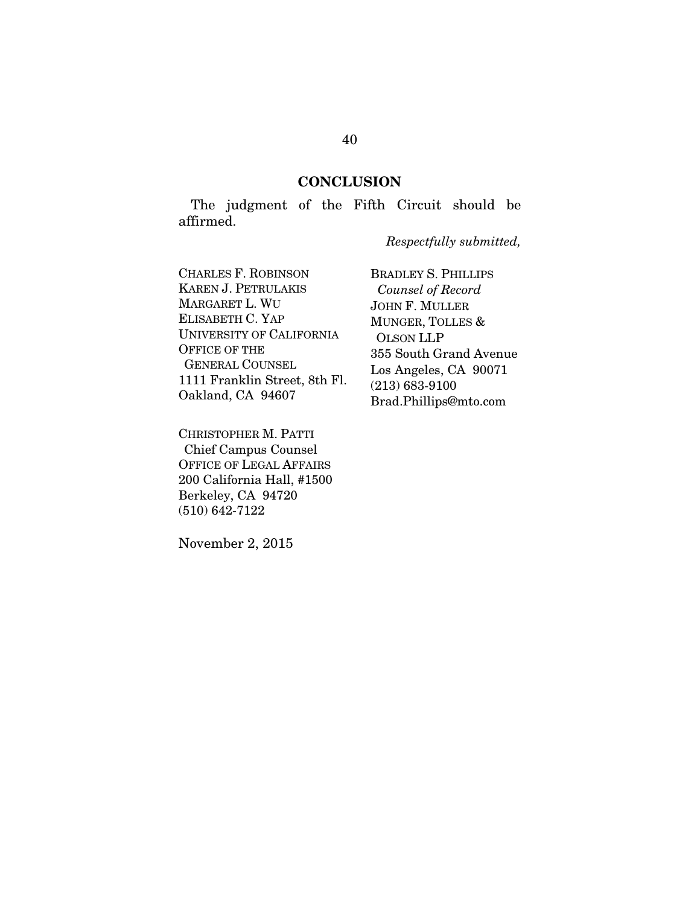#### **CONCLUSION**

The judgment of the Fifth Circuit should be affirmed.

*Respectfully submitted,*

CHARLES F. ROBINSON KAREN J. PETRULAKIS MARGARET L. WU ELISABETH C. YAP UNIVERSITY OF CALIFORNIA OFFICE OF THE GENERAL COUNSEL 1111 Franklin Street, 8th Fl. Oakland, CA 94607

CHRISTOPHER M. PATTI Chief Campus Counsel OFFICE OF LEGAL AFFAIRS 200 California Hall, #1500 Berkeley, CA 94720 (510) 642-7122

November 2, 2015

BRADLEY S. PHILLIPS  *Counsel of Record* JOHN F. MULLER MUNGER, TOLLES & OLSON LLP 355 South Grand Avenue Los Angeles, CA 90071 (213) 683-9100 Brad.Phillips@mto.com